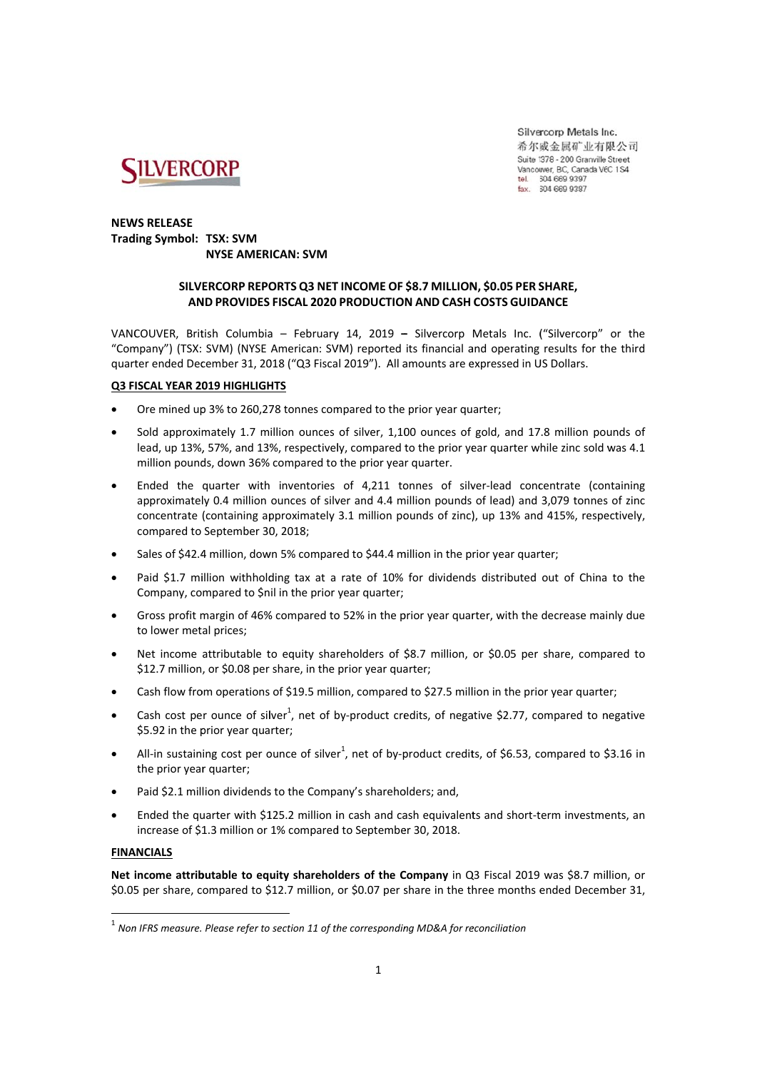

Silvercorp Metals Inc. 希尔威金属矿业有限公司 Suite 1378 - 200 Granville Street Vancouver, BC, Canada V6C 1S4 604 669 9397 tel. fax. 604 669 9387

### **NEW WS RELEASE Trad ing Symbol: TSX: SVM NYSE AMER ICAN: SVM**

### **SILV ERCORP REPO ORTS Q3 NET T INCOME OF \$8.7 MILLION N, \$0.05 PER S SHARE, AN ND PROVIDES FISCAL 2020 PRODUCTIO N AND CASH COSTS GUIDA ANCE**

VANCOUVER, British Columbia – February 14, 2019 – Silvercorp Metals Inc. ("Silvercorp" or the "Company") (TSX: SVM) (NYSE American: SVM) reported its financial and operating results for the third quarter ended December 31, 2018 ("Q3 Fiscal 2019"). All amounts are expressed in US Dollars.

### **Q3 F ISCAL YEAR 20 019 HIGHLIGH HTS**

- $\bullet$ Ore mined up 3% to 260,278 tonnes compared to the prior year quarter;
- $\bullet$ Sold approximately 1.7 million ounces of silver, 1,100 ounces of gold, and 17.8 million pounds of lead, up 13%, 57%, and 13%, respectively, compared to the prior year quarter while zinc sold was 4.1 million pounds, down 36% compared to the prior year quarter.
- $\bullet$ Ended the quarter with inventories of 4,211 tonnes of silver-lead concentrate (containing approximately 0.4 million ounces of silver and 4.4 million pounds of lead) and 3,079 tonnes of zinc concentrate (containing approximately 3.1 million pounds of zinc), up 13% and 415%, respectively, compared to September 30 0, 2018;
- $\blacksquare$ Sales of \$42.4 million, down 5% compared to \$44.4 million in the prior year quarter;
- $\bullet$ Paid \$1.7 million withholding tax at a rate of 10% for dividends distributed out of China to the Company, co mpared to \$n il in the prior year quarter;
- $\bullet$ Gross profit margin of 46% compared to 52% in the prior year quarter, with the decrease mainly due to lower met al prices;
- $\bullet$ Net income attributable to equity shareholders of \$8.7 million, or \$0.05 per share, compared to \$12.7 million, or \$0.08 per share, in the prior year quarter;
- $\bullet$ Cash flow from operations of \$19.5 million, compared to \$27.5 million in the prior year quarter;
- $\bullet$ Cash cost per ounce of silver<sup>1</sup>, net of by-product credits, of negative \$2.77, compared to negative \$5.92 in the prior year quarter;
- $\bullet$ All-in sustaining cost per ounce of silver<sup>1</sup>, net of by-product credits, of \$6.53, compared to \$3.16 in the prior year quarter;
- $\bullet$ Paid \$2.1 million dividends to the Company's shareholders; and,

 $\bullet$ Ended the quarter with \$125.2 million in cash and cash equivalents and short-term investments, an increase of \$1.3 million or 1% compared to September 30, 2018.

### **FINA ANCIALS**

**Net income attributable to equity shareholders of the Company in Q3 Fiscal 2019 was \$8.7 million, or** \$0.05 per share, compared to \$12.7 million, or \$0.07 per share in the three months ended December 31,

 $^{\rm 1}$  Non IFRS measure. Please refer to section 11 of the corresponding MD&A for reconciliation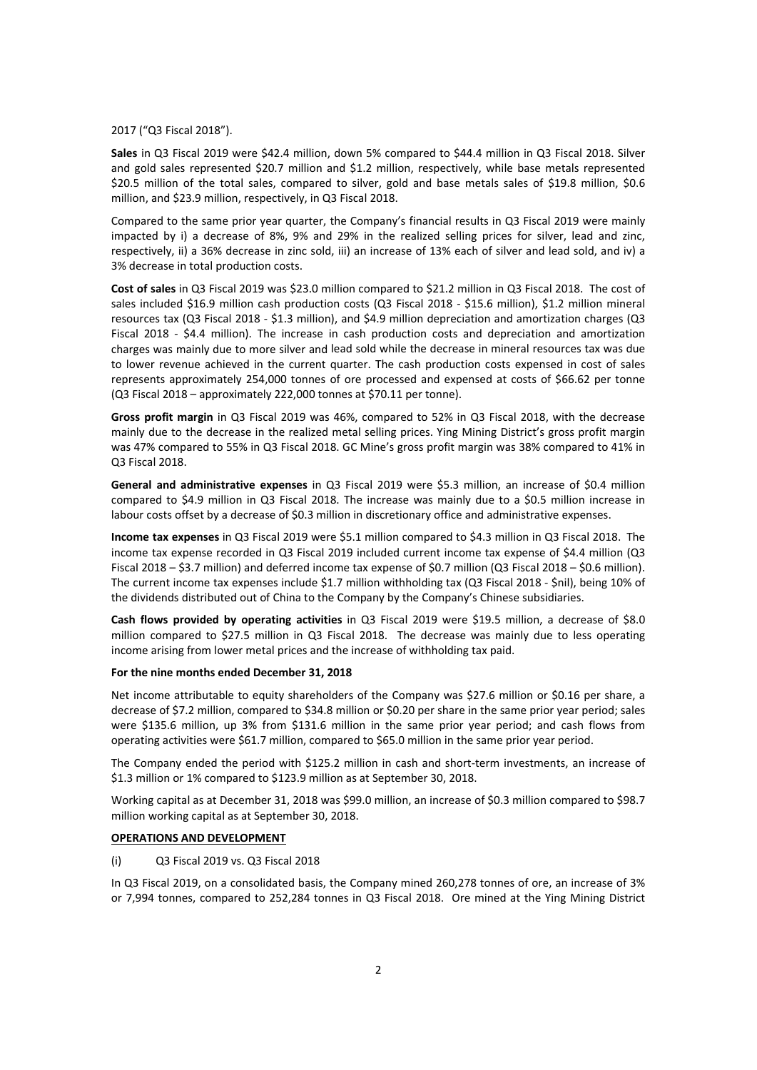### 2017 ("Q3 Fiscal 2018").

**Sales** in Q3 Fiscal 2019 were \$42.4 million, down 5% compared to \$44.4 million in Q3 Fiscal 2018. Silver and gold sales represented \$20.7 million and \$1.2 million, respectively, while base metals represented \$20.5 million of the total sales, compared to silver, gold and base metals sales of \$19.8 million, \$0.6 million, and \$23.9 million, respectively, in Q3 Fiscal 2018.

Compared to the same prior year quarter, the Company's financial results in Q3 Fiscal 2019 were mainly impacted by i) a decrease of 8%, 9% and 29% in the realized selling prices for silver, lead and zinc, respectively, ii) a 36% decrease in zinc sold, iii) an increase of 13% each of silver and lead sold, and iv) a 3% decrease in total production costs.

**Cost of sales** in Q3 Fiscal 2019 was \$23.0 million compared to \$21.2 million in Q3 Fiscal 2018. The cost of sales included \$16.9 million cash production costs (Q3 Fiscal 2018 - \$15.6 million), \$1.2 million mineral resources tax (Q3 Fiscal 2018 ‐ \$1.3 million), and \$4.9 million depreciation and amortization charges (Q3 Fiscal 2018 - \$4.4 million). The increase in cash production costs and depreciation and amortization charges was mainly due to more silver and lead sold while the decrease in mineral resources tax was due to lower revenue achieved in the current quarter. The cash production costs expensed in cost of sales represents approximately 254,000 tonnes of ore processed and expensed at costs of \$66.62 per tonne (Q3 Fiscal 2018 – approximately 222,000 tonnes at \$70.11 per tonne).

**Gross profit margin** in Q3 Fiscal 2019 was 46%, compared to 52% in Q3 Fiscal 2018, with the decrease mainly due to the decrease in the realized metal selling prices. Ying Mining District's gross profit margin was 47% compared to 55% in Q3 Fiscal 2018. GC Mine's gross profit margin was 38% compared to 41% in Q3 Fiscal 2018.

**General and administrative expenses** in Q3 Fiscal 2019 were \$5.3 million, an increase of \$0.4 million compared to \$4.9 million in Q3 Fiscal 2018. The increase was mainly due to a \$0.5 million increase in labour costs offset by a decrease of \$0.3 million in discretionary office and administrative expenses.

**Income tax expenses** in Q3 Fiscal 2019 were \$5.1 million compared to \$4.3 million in Q3 Fiscal 2018. The income tax expense recorded in Q3 Fiscal 2019 included current income tax expense of \$4.4 million (Q3 Fiscal 2018 – \$3.7 million) and deferred income tax expense of \$0.7 million (Q3 Fiscal 2018 – \$0.6 million). The current income tax expenses include \$1.7 million withholding tax (Q3 Fiscal 2018 ‐ \$nil), being 10% of the dividends distributed out of China to the Company by the Company's Chinese subsidiaries.

**Cash flows provided by operating activities** in Q3 Fiscal 2019 were \$19.5 million, a decrease of \$8.0 million compared to \$27.5 million in Q3 Fiscal 2018. The decrease was mainly due to less operating income arising from lower metal prices and the increase of withholding tax paid.

### **For the nine months ended December 31, 2018**

Net income attributable to equity shareholders of the Company was \$27.6 million or \$0.16 per share, a decrease of \$7.2 million, compared to \$34.8 million or \$0.20 per share in the same prior year period; sales were \$135.6 million, up 3% from \$131.6 million in the same prior year period; and cash flows from operating activities were \$61.7 million, compared to \$65.0 million in the same prior year period.

The Company ended the period with \$125.2 million in cash and short-term investments, an increase of \$1.3 million or 1% compared to \$123.9 million as at September 30, 2018.

Working capital as at December 31, 2018 was \$99.0 million, an increase of \$0.3 million compared to \$98.7 million working capital as at September 30, 2018.

### **OPERATIONS AND DEVELOPMENT**

### (i) Q3 Fiscal 2019 vs. Q3 Fiscal 2018

In Q3 Fiscal 2019, on a consolidated basis, the Company mined 260,278 tonnes of ore, an increase of 3% or 7,994 tonnes, compared to 252,284 tonnes in Q3 Fiscal 2018. Ore mined at the Ying Mining District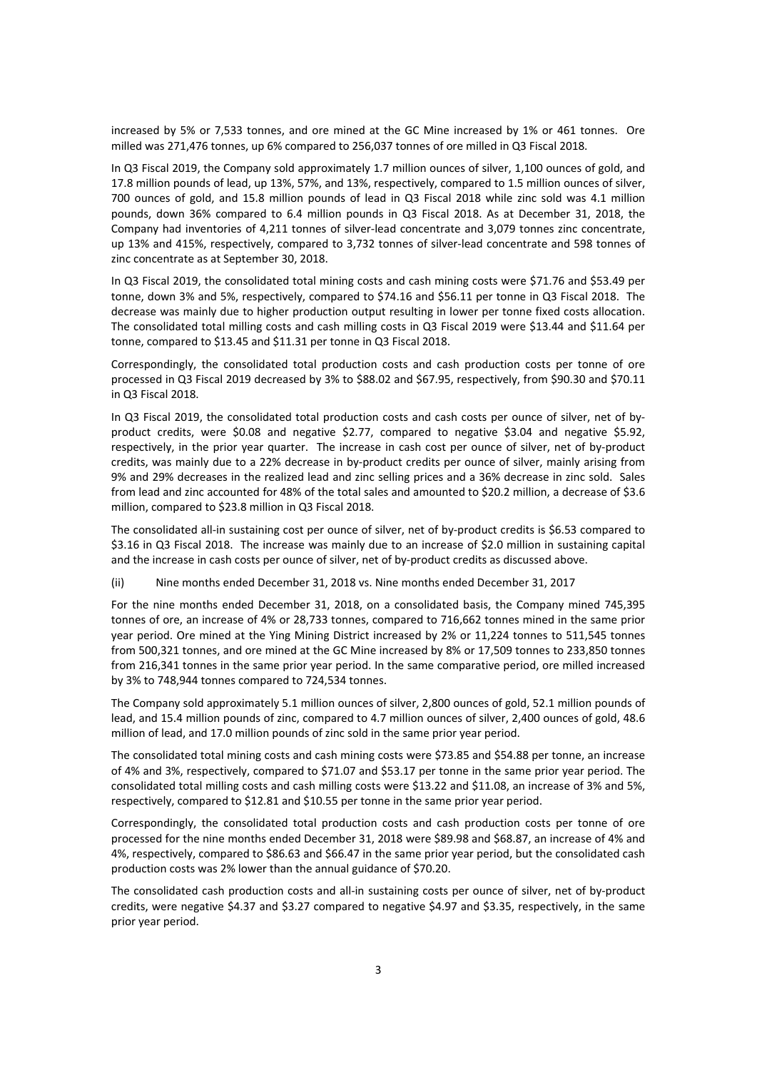increased by 5% or 7,533 tonnes, and ore mined at the GC Mine increased by 1% or 461 tonnes. Ore milled was 271,476 tonnes, up 6% compared to 256,037 tonnes of ore milled in Q3 Fiscal 2018.

In Q3 Fiscal 2019, the Company sold approximately 1.7 million ounces of silver, 1,100 ounces of gold, and 17.8 million pounds of lead, up 13%, 57%, and 13%, respectively, compared to 1.5 million ounces of silver, 700 ounces of gold, and 15.8 million pounds of lead in Q3 Fiscal 2018 while zinc sold was 4.1 million pounds, down 36% compared to 6.4 million pounds in Q3 Fiscal 2018. As at December 31, 2018, the Company had inventories of 4,211 tonnes of silver-lead concentrate and 3,079 tonnes zinc concentrate, up 13% and 415%, respectively, compared to 3,732 tonnes of silver-lead concentrate and 598 tonnes of zinc concentrate as at September 30, 2018.

In Q3 Fiscal 2019, the consolidated total mining costs and cash mining costs were \$71.76 and \$53.49 per tonne, down 3% and 5%, respectively, compared to \$74.16 and \$56.11 per tonne in Q3 Fiscal 2018. The decrease was mainly due to higher production output resulting in lower per tonne fixed costs allocation. The consolidated total milling costs and cash milling costs in Q3 Fiscal 2019 were \$13.44 and \$11.64 per tonne, compared to \$13.45 and \$11.31 per tonne in Q3 Fiscal 2018.

Correspondingly, the consolidated total production costs and cash production costs per tonne of ore processed in Q3 Fiscal 2019 decreased by 3% to \$88.02 and \$67.95, respectively, from \$90.30 and \$70.11 in Q3 Fiscal 2018.

In Q3 Fiscal 2019, the consolidated total production costs and cash costs per ounce of silver, net of byproduct credits, were \$0.08 and negative \$2.77, compared to negative \$3.04 and negative \$5.92, respectively, in the prior year quarter. The increase in cash cost per ounce of silver, net of by‐product credits, was mainly due to a 22% decrease in by‐product credits per ounce of silver, mainly arising from 9% and 29% decreases in the realized lead and zinc selling prices and a 36% decrease in zinc sold. Sales from lead and zinc accounted for 48% of the total sales and amounted to \$20.2 million, a decrease of \$3.6 million, compared to \$23.8 million in Q3 Fiscal 2018.

The consolidated all-in sustaining cost per ounce of silver, net of by-product credits is \$6.53 compared to \$3.16 in Q3 Fiscal 2018. The increase was mainly due to an increase of \$2.0 million in sustaining capital and the increase in cash costs per ounce of silver, net of by-product credits as discussed above.

(ii) Nine months ended December 31, 2018 vs. Nine months ended December 31, 2017

For the nine months ended December 31, 2018, on a consolidated basis, the Company mined 745,395 tonnes of ore, an increase of 4% or 28,733 tonnes, compared to 716,662 tonnes mined in the same prior year period. Ore mined at the Ying Mining District increased by 2% or 11,224 tonnes to 511,545 tonnes from 500,321 tonnes, and ore mined at the GC Mine increased by 8% or 17,509 tonnes to 233,850 tonnes from 216,341 tonnes in the same prior year period. In the same comparative period, ore milled increased by 3% to 748,944 tonnes compared to 724,534 tonnes.

The Company sold approximately 5.1 million ounces of silver, 2,800 ounces of gold, 52.1 million pounds of lead, and 15.4 million pounds of zinc, compared to 4.7 million ounces of silver, 2,400 ounces of gold, 48.6 million of lead, and 17.0 million pounds of zinc sold in the same prior year period.

The consolidated total mining costs and cash mining costs were \$73.85 and \$54.88 per tonne, an increase of 4% and 3%, respectively, compared to \$71.07 and \$53.17 per tonne in the same prior year period. The consolidated total milling costs and cash milling costs were \$13.22 and \$11.08, an increase of 3% and 5%, respectively, compared to \$12.81 and \$10.55 per tonne in the same prior year period.

Correspondingly, the consolidated total production costs and cash production costs per tonne of ore processed for the nine months ended December 31, 2018 were \$89.98 and \$68.87, an increase of 4% and 4%, respectively, compared to \$86.63 and \$66.47 in the same prior year period, but the consolidated cash production costs was 2% lower than the annual guidance of \$70.20.

The consolidated cash production costs and all-in sustaining costs per ounce of silver, net of by-product credits, were negative \$4.37 and \$3.27 compared to negative \$4.97 and \$3.35, respectively, in the same prior year period.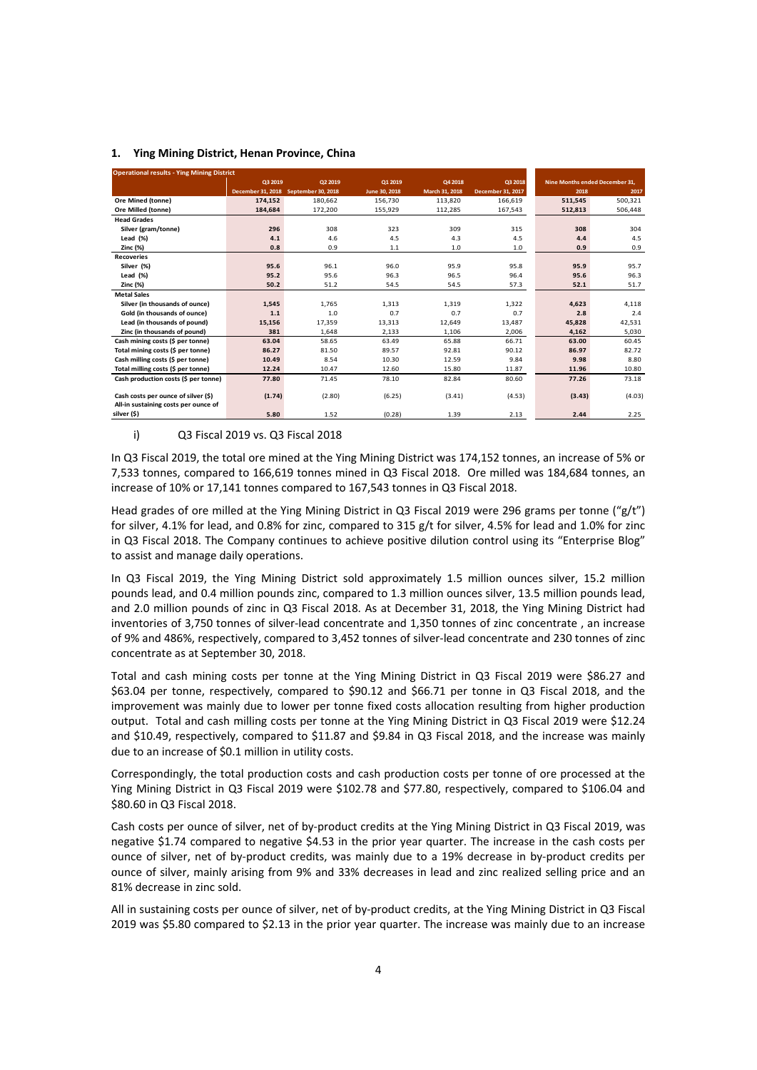### **1. Ying Mining District, Henan Province, China**

| <b>Operational results - Ying Mining District</b> |                          |                    |               |                |                   |         |                                |
|---------------------------------------------------|--------------------------|--------------------|---------------|----------------|-------------------|---------|--------------------------------|
|                                                   | Q3 2019                  | Q2 2019            | Q1 2019       | Q4 2018        | Q3 2018           |         | Nine Months ended December 31, |
|                                                   | <b>December 31, 2018</b> | September 30, 2018 | June 30, 2018 | March 31, 2018 | December 31, 2017 | 2018    | 2017                           |
| <b>Ore Mined (tonne)</b>                          | 174.152                  | 180.662            | 156.730       | 113.820        | 166.619           | 511.545 | 500,321                        |
| Ore Milled (tonne)                                | 184,684                  | 172,200            | 155,929       | 112,285        | 167,543           | 512,813 | 506,448                        |
| <b>Head Grades</b>                                |                          |                    |               |                |                   |         |                                |
| Silver (gram/tonne)                               | 296                      | 308                | 323           | 309            | 315               | 308     | 304                            |
| Lead $(\%)$                                       | 4.1                      | 4.6                | 4.5           | 4.3            | 4.5               | 4.4     | 4.5                            |
| Zinc (%)                                          | 0.8                      | 0.9                | $1.1$         | 1.0            | 1.0               | 0.9     | 0.9                            |
| <b>Recoveries</b>                                 |                          |                    |               |                |                   |         |                                |
| Silver (%)                                        | 95.6                     | 96.1               | 96.0          | 95.9           | 95.8              | 95.9    | 95.7                           |
| Lead $(*)$                                        | 95.2                     | 95.6               | 96.3          | 96.5           | 96.4              | 95.6    | 96.3                           |
| Zinc (%)                                          | 50.2                     | 51.2               | 54.5          | 54.5           | 57.3              | 52.1    | 51.7                           |
| <b>Metal Sales</b>                                |                          |                    |               |                |                   |         |                                |
| Silver (in thousands of ounce)                    | 1.545                    | 1.765              | 1.313         | 1.319          | 1.322             | 4,623   | 4,118                          |
| Gold (in thousands of ounce)                      | 1.1                      | 1.0                | 0.7           | 0.7            | 0.7               | 2.8     | 2.4                            |
| Lead (in thousands of pound)                      | 15,156                   | 17,359             | 13,313        | 12.649         | 13.487            | 45,828  | 42,531                         |
| Zinc (in thousands of pound)                      | 381                      | 1,648              | 2,133         | 1,106          | 2,006             | 4,162   | 5,030                          |
| Cash mining costs (\$ per tonne)                  | 63.04                    | 58.65              | 63.49         | 65.88          | 66.71             | 63.00   | 60.45                          |
| Total mining costs (\$ per tonne)                 | 86.27                    | 81.50              | 89.57         | 92.81          | 90.12             | 86.97   | 82.72                          |
| Cash milling costs (\$ per tonne)                 | 10.49                    | 8.54               | 10.30         | 12.59          | 9.84              | 9.98    | 8.80                           |
| Total milling costs (\$ per tonne)                | 12.24                    | 10.47              | 12.60         | 15.80          | 11.87             | 11.96   | 10.80                          |
| Cash production costs (\$ per tonne)              | 77.80                    | 71.45              | 78.10         | 82.84          | 80.60             | 77.26   | 73.18                          |
|                                                   |                          |                    |               |                |                   |         |                                |
| Cash costs per ounce of silver (\$)               | (1.74)                   | (2.80)             | (6.25)        | (3.41)         | (4.53)            | (3.43)  | (4.03)                         |
| All-in sustaining costs per ounce of              |                          |                    |               |                |                   |         |                                |
| silver (\$)                                       | 5.80                     | 1.52               | (0.28)        | 1.39           | 2.13              | 2.44    | 2.25                           |

#### i) Q3 Fiscal 2019 vs. Q3 Fiscal 2018

In Q3 Fiscal 2019, the total ore mined at the Ying Mining District was 174,152 tonnes, an increase of 5% or 7,533 tonnes, compared to 166,619 tonnes mined in Q3 Fiscal 2018. Ore milled was 184,684 tonnes, an increase of 10% or 17,141 tonnes compared to 167,543 tonnes in Q3 Fiscal 2018.

Head grades of ore milled at the Ying Mining District in Q3 Fiscal 2019 were 296 grams per tonne ("g/t") for silver, 4.1% for lead, and 0.8% for zinc, compared to 315 g/t for silver, 4.5% for lead and 1.0% for zinc in Q3 Fiscal 2018. The Company continues to achieve positive dilution control using its "Enterprise Blog" to assist and manage daily operations.

In Q3 Fiscal 2019, the Ying Mining District sold approximately 1.5 million ounces silver, 15.2 million pounds lead, and 0.4 million pounds zinc, compared to 1.3 million ounces silver, 13.5 million pounds lead, and 2.0 million pounds of zinc in Q3 Fiscal 2018. As at December 31, 2018, the Ying Mining District had inventories of 3,750 tonnes of silver‐lead concentrate and 1,350 tonnes of zinc concentrate , an increase of 9% and 486%, respectively, compared to 3,452 tonnes of silver‐lead concentrate and 230 tonnes of zinc concentrate as at September 30, 2018.

Total and cash mining costs per tonne at the Ying Mining District in Q3 Fiscal 2019 were \$86.27 and \$63.04 per tonne, respectively, compared to \$90.12 and \$66.71 per tonne in Q3 Fiscal 2018, and the improvement was mainly due to lower per tonne fixed costs allocation resulting from higher production output. Total and cash milling costs per tonne at the Ying Mining District in Q3 Fiscal 2019 were \$12.24 and \$10.49, respectively, compared to \$11.87 and \$9.84 in Q3 Fiscal 2018, and the increase was mainly due to an increase of \$0.1 million in utility costs.

Correspondingly, the total production costs and cash production costs per tonne of ore processed at the Ying Mining District in Q3 Fiscal 2019 were \$102.78 and \$77.80, respectively, compared to \$106.04 and \$80.60 in Q3 Fiscal 2018.

Cash costs per ounce of silver, net of by‐product credits at the Ying Mining District in Q3 Fiscal 2019, was negative \$1.74 compared to negative \$4.53 in the prior year quarter. The increase in the cash costs per ounce of silver, net of by‐product credits, was mainly due to a 19% decrease in by‐product credits per ounce of silver, mainly arising from 9% and 33% decreases in lead and zinc realized selling price and an 81% decrease in zinc sold.

All in sustaining costs per ounce of silver, net of by‐product credits, at the Ying Mining District in Q3 Fiscal 2019 was \$5.80 compared to \$2.13 in the prior year quarter. The increase was mainly due to an increase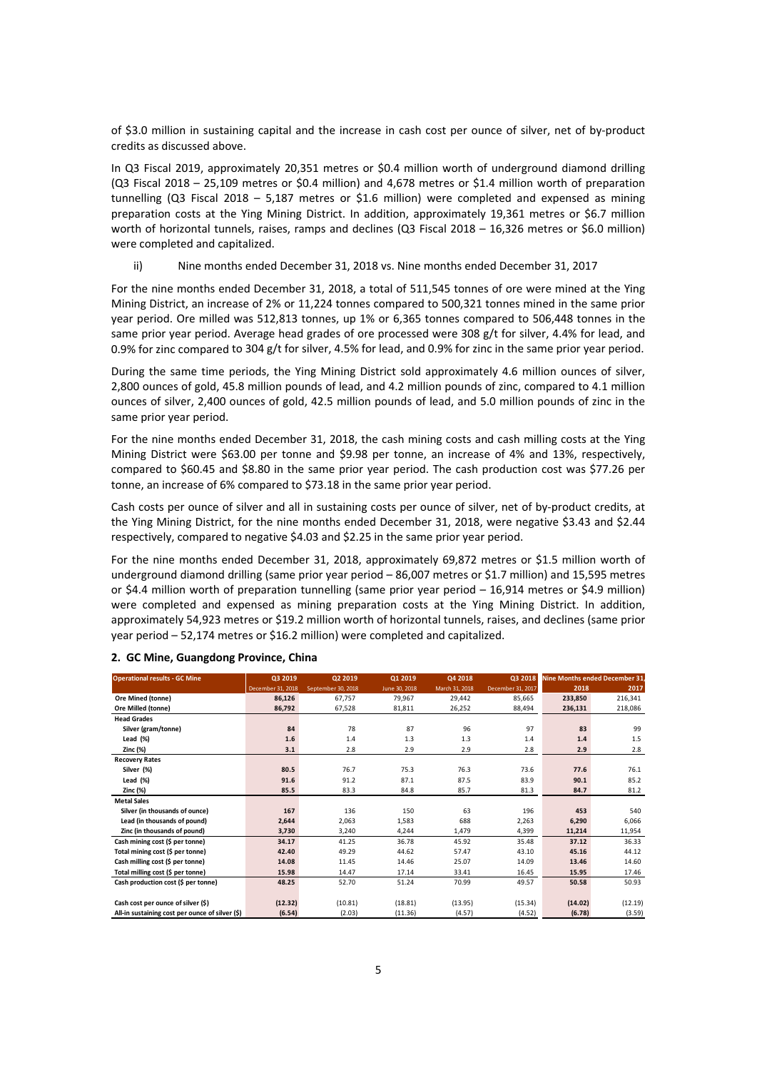of \$3.0 million in sustaining capital and the increase in cash cost per ounce of silver, net of by‐product credits as discussed above.

In Q3 Fiscal 2019, approximately 20,351 metres or \$0.4 million worth of underground diamond drilling (Q3 Fiscal 2018 – 25,109 metres or \$0.4 million) and 4,678 metres or \$1.4 million worth of preparation tunnelling (Q3 Fiscal 2018 – 5,187 metres or \$1.6 million) were completed and expensed as mining preparation costs at the Ying Mining District. In addition, approximately 19,361 metres or \$6.7 million worth of horizontal tunnels, raises, ramps and declines (Q3 Fiscal 2018 – 16,326 metres or \$6.0 million) were completed and capitalized.

ii) Nine months ended December 31, 2018 vs. Nine months ended December 31, 2017

For the nine months ended December 31, 2018, a total of 511,545 tonnes of ore were mined at the Ying Mining District, an increase of 2% or 11,224 tonnes compared to 500,321 tonnes mined in the same prior year period. Ore milled was 512,813 tonnes, up 1% or 6,365 tonnes compared to 506,448 tonnes in the same prior year period. Average head grades of ore processed were 308 g/t for silver, 4.4% for lead, and 0.9% for zinc compared to 304 g/t for silver, 4.5% for lead, and 0.9% for zinc in the same prior year period.

During the same time periods, the Ying Mining District sold approximately 4.6 million ounces of silver, 2,800 ounces of gold, 45.8 million pounds of lead, and 4.2 million pounds of zinc, compared to 4.1 million ounces of silver, 2,400 ounces of gold, 42.5 million pounds of lead, and 5.0 million pounds of zinc in the same prior year period.

For the nine months ended December 31, 2018, the cash mining costs and cash milling costs at the Ying Mining District were \$63.00 per tonne and \$9.98 per tonne, an increase of 4% and 13%, respectively, compared to \$60.45 and \$8.80 in the same prior year period. The cash production cost was \$77.26 per tonne, an increase of 6% compared to \$73.18 in the same prior year period.

Cash costs per ounce of silver and all in sustaining costs per ounce of silver, net of by‐product credits, at the Ying Mining District, for the nine months ended December 31, 2018, were negative \$3.43 and \$2.44 respectively, compared to negative \$4.03 and \$2.25 in the same prior year period.

For the nine months ended December 31, 2018, approximately 69,872 metres or \$1.5 million worth of underground diamond drilling (same prior year period – 86,007 metres or \$1.7 million) and 15,595 metres or \$4.4 million worth of preparation tunnelling (same prior year period – 16,914 metres or \$4.9 million) were completed and expensed as mining preparation costs at the Ying Mining District. In addition, approximately 54,923 metres or \$19.2 million worth of horizontal tunnels, raises, and declines (same prior year period – 52,174 metres or \$16.2 million) were completed and capitalized.

| <b>Operational results - GC Mine</b>            | Q3 2019           | Q2 2019            | Q1 2019       | Q4 2018        | Q3 2018           | Nine Months ended December 31, |         |
|-------------------------------------------------|-------------------|--------------------|---------------|----------------|-------------------|--------------------------------|---------|
|                                                 | December 31, 2018 | September 30, 2018 | June 30, 2018 | March 31, 2018 | December 31, 2017 | 2018                           | 2017    |
| Ore Mined (tonne)                               | 86,126            | 67,757             | 79,967        | 29,442         | 85,665            | 233,850                        | 216,341 |
| Ore Milled (tonne)                              | 86,792            | 67,528             | 81,811        | 26,252         | 88,494            | 236,131                        | 218,086 |
| <b>Head Grades</b>                              |                   |                    |               |                |                   |                                |         |
| Silver (gram/tonne)                             | 84                | 78                 | 87            | 96             | 97                | 83                             | 99      |
| Lead $(*)$                                      | 1.6               | 1.4                | 1.3           | 1.3            | 1.4               | 1.4                            | 1.5     |
| Zinc (%)                                        | 3.1               | 2.8                | 2.9           | 2.9            | 2.8               | 2.9                            | 2.8     |
| <b>Recovery Rates</b>                           |                   |                    |               |                |                   |                                |         |
| Silver (%)                                      | 80.5              | 76.7               | 75.3          | 76.3           | 73.6              | 77.6                           | 76.1    |
| Lead $(*)$                                      | 91.6              | 91.2               | 87.1          | 87.5           | 83.9              | 90.1                           | 85.2    |
| Zinc (%)                                        | 85.5              | 83.3               | 84.8          | 85.7           | 81.3              | 84.7                           | 81.2    |
| <b>Metal Sales</b>                              |                   |                    |               |                |                   |                                |         |
| Silver (in thousands of ounce)                  | 167               | 136                | 150           | 63             | 196               | 453                            | 540     |
| Lead (in thousands of pound)                    | 2,644             | 2,063              | 1,583         | 688            | 2,263             | 6,290                          | 6,066   |
| Zinc (in thousands of pound)                    | 3,730             | 3,240              | 4,244         | 1,479          | 4,399             | 11,214                         | 11,954  |
| Cash mining cost (\$ per tonne)                 | 34.17             | 41.25              | 36.78         | 45.92          | 35.48             | 37.12                          | 36.33   |
| Total mining cost (\$ per tonne)                | 42.40             | 49.29              | 44.62         | 57.47          | 43.10             | 45.16                          | 44.12   |
| Cash milling cost (\$ per tonne)                | 14.08             | 11.45              | 14.46         | 25.07          | 14.09             | 13.46                          | 14.60   |
| Total milling cost (\$ per tonne)               | 15.98             | 14.47              | 17.14         | 33.41          | 16.45             | 15.95                          | 17.46   |
| Cash production cost (\$ per tonne)             | 48.25             | 52.70              | 51.24         | 70.99          | 49.57             | 50.58                          | 50.93   |
|                                                 |                   |                    |               |                |                   |                                |         |
| Cash cost per ounce of silver (\$)              | (12.32)           | (10.81)            | (18.81)       | (13.95)        | (15.34)           | (14.02)                        | (12.19) |
| All-in sustaining cost per ounce of silver (\$) | (6.54)            | (2.03)             | (11.36)       | (4.57)         | (4.52)            | (6.78)                         | (3.59)  |

### **2. GC Mine, Guangdong Province, China**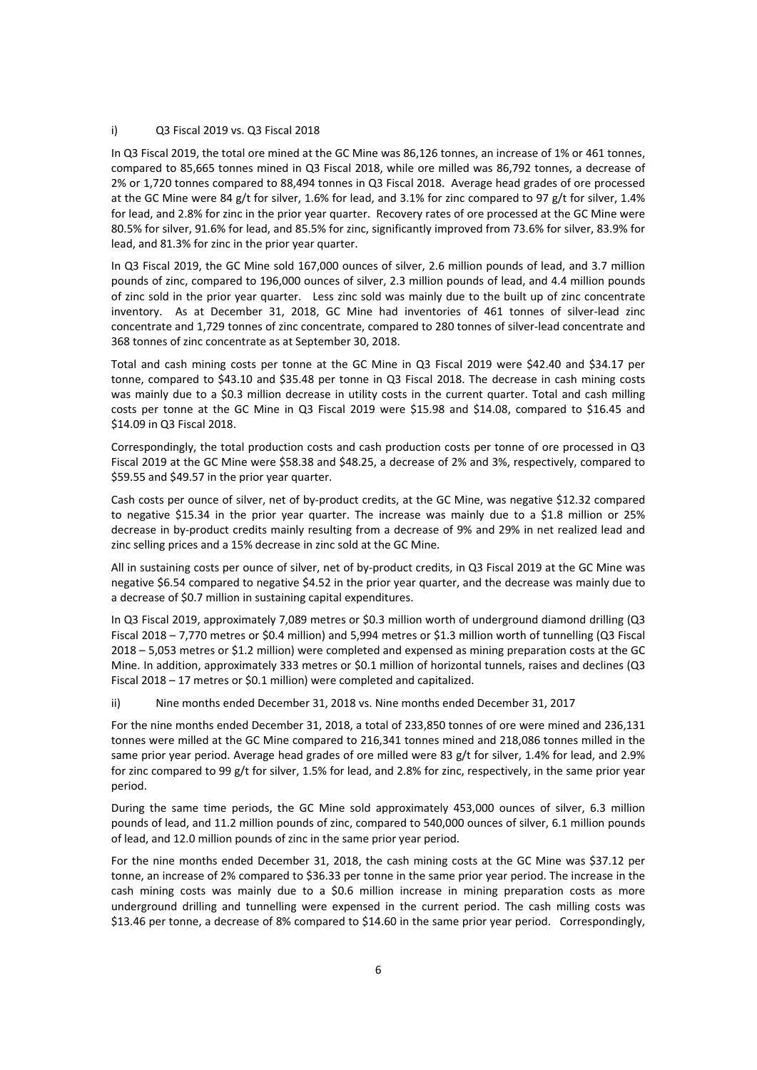### i) Q3 Fiscal 2019 vs. Q3 Fiscal 2018

In Q3 Fiscal 2019, the total ore mined at the GC Mine was 86,126 tonnes, an increase of 1% or 461 tonnes, compared to 85,665 tonnes mined in Q3 Fiscal 2018, while ore milled was 86,792 tonnes, a decrease of 2% or 1,720 tonnes compared to 88,494 tonnes in Q3 Fiscal 2018. Average head grades of ore processed at the GC Mine were 84 g/t for silver, 1.6% for lead, and 3.1% for zinc compared to 97 g/t for silver, 1.4% for lead, and 2.8% for zinc in the prior year quarter. Recovery rates of ore processed at the GC Mine were 80.5% for silver, 91.6% for lead, and 85.5% for zinc, significantly improved from 73.6% for silver, 83.9% for lead, and 81.3% for zinc in the prior year quarter.

In Q3 Fiscal 2019, the GC Mine sold 167,000 ounces of silver, 2.6 million pounds of lead, and 3.7 million pounds of zinc, compared to 196,000 ounces of silver, 2.3 million pounds of lead, and 4.4 million pounds of zinc sold in the prior year quarter. Less zinc sold was mainly due to the built up of zinc concentrate inventory. As at December 31, 2018, GC Mine had inventories of 461 tonnes of silver-lead zinc concentrate and 1,729 tonnes of zinc concentrate, compared to 280 tonnes of silver‐lead concentrate and 368 tonnes of zinc concentrate as at September 30, 2018.

Total and cash mining costs per tonne at the GC Mine in Q3 Fiscal 2019 were \$42.40 and \$34.17 per tonne, compared to \$43.10 and \$35.48 per tonne in Q3 Fiscal 2018. The decrease in cash mining costs was mainly due to a \$0.3 million decrease in utility costs in the current quarter. Total and cash milling costs per tonne at the GC Mine in Q3 Fiscal 2019 were \$15.98 and \$14.08, compared to \$16.45 and \$14.09 in Q3 Fiscal 2018.

Correspondingly, the total production costs and cash production costs per tonne of ore processed in Q3 Fiscal 2019 at the GC Mine were \$58.38 and \$48.25, a decrease of 2% and 3%, respectively, compared to \$59.55 and \$49.57 in the prior year quarter.

Cash costs per ounce of silver, net of by‐product credits, at the GC Mine, was negative \$12.32 compared to negative \$15.34 in the prior year quarter. The increase was mainly due to a \$1.8 million or 25% decrease in by‐product credits mainly resulting from a decrease of 9% and 29% in net realized lead and zinc selling prices and a 15% decrease in zinc sold at the GC Mine.

All in sustaining costs per ounce of silver, net of by‐product credits, in Q3 Fiscal 2019 at the GC Mine was negative \$6.54 compared to negative \$4.52 in the prior year quarter, and the decrease was mainly due to a decrease of \$0.7 million in sustaining capital expenditures.

In Q3 Fiscal 2019, approximately 7,089 metres or \$0.3 million worth of underground diamond drilling (Q3 Fiscal 2018 – 7,770 metres or \$0.4 million) and 5,994 metres or \$1.3 million worth of tunnelling (Q3 Fiscal 2018 – 5,053 metres or \$1.2 million) were completed and expensed as mining preparation costs at the GC Mine. In addition, approximately 333 metres or \$0.1 million of horizontal tunnels, raises and declines (Q3 Fiscal 2018 – 17 metres or \$0.1 million) were completed and capitalized.

ii) Nine months ended December 31, 2018 vs. Nine months ended December 31, 2017

For the nine months ended December 31, 2018, a total of 233,850 tonnes of ore were mined and 236,131 tonnes were milled at the GC Mine compared to 216,341 tonnes mined and 218,086 tonnes milled in the same prior year period. Average head grades of ore milled were 83 g/t for silver, 1.4% for lead, and 2.9% for zinc compared to 99 g/t for silver, 1.5% for lead, and 2.8% for zinc, respectively, in the same prior year period.

During the same time periods, the GC Mine sold approximately 453,000 ounces of silver, 6.3 million pounds of lead, and 11.2 million pounds of zinc, compared to 540,000 ounces of silver, 6.1 million pounds of lead, and 12.0 million pounds of zinc in the same prior year period.

For the nine months ended December 31, 2018, the cash mining costs at the GC Mine was \$37.12 per tonne, an increase of 2% compared to \$36.33 per tonne in the same prior year period. The increase in the cash mining costs was mainly due to a \$0.6 million increase in mining preparation costs as more underground drilling and tunnelling were expensed in the current period. The cash milling costs was \$13.46 per tonne, a decrease of 8% compared to \$14.60 in the same prior year period. Correspondingly,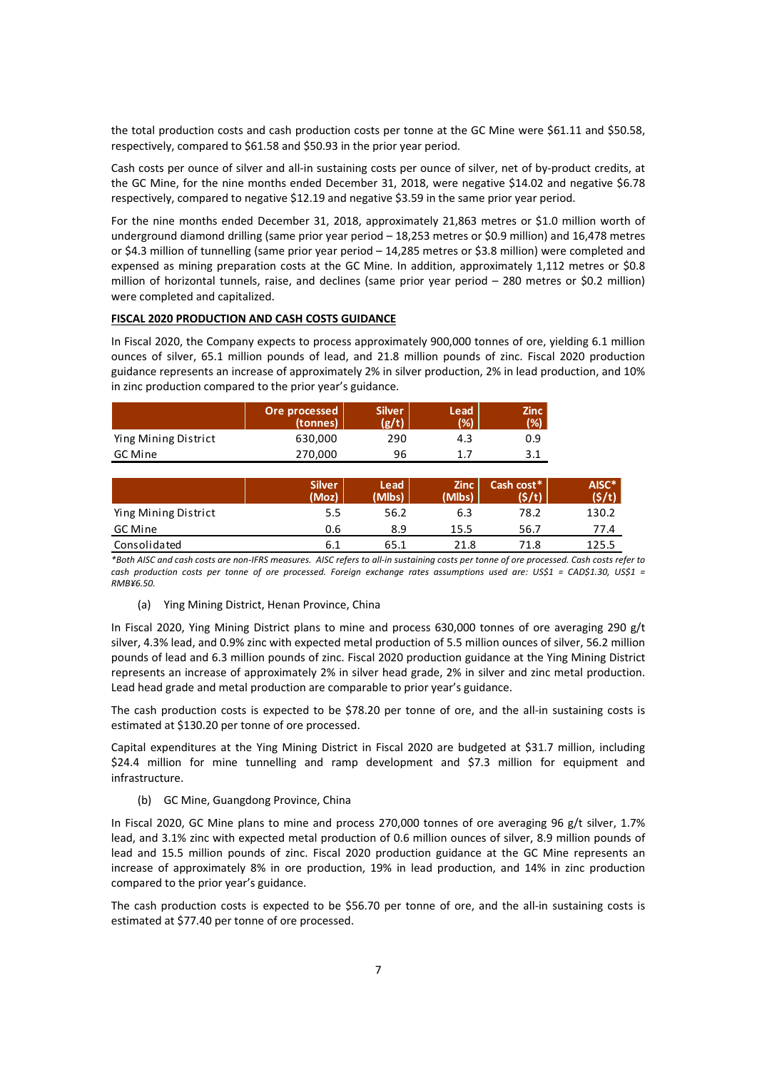the total production costs and cash production costs per tonne at the GC Mine were \$61.11 and \$50.58, respectively, compared to \$61.58 and \$50.93 in the prior year period.

Cash costs per ounce of silver and all‐in sustaining costs per ounce of silver, net of by‐product credits, at the GC Mine, for the nine months ended December 31, 2018, were negative \$14.02 and negative \$6.78 respectively, compared to negative \$12.19 and negative \$3.59 in the same prior year period.

For the nine months ended December 31, 2018, approximately 21,863 metres or \$1.0 million worth of underground diamond drilling (same prior year period – 18,253 metres or \$0.9 million) and 16,478 metres or \$4.3 million of tunnelling (same prior year period – 14,285 metres or \$3.8 million) were completed and expensed as mining preparation costs at the GC Mine. In addition, approximately 1,112 metres or \$0.8 million of horizontal tunnels, raise, and declines (same prior year period – 280 metres or \$0.2 million) were completed and capitalized.

### **FISCAL 2020 PRODUCTION AND CASH COSTS GUIDANCE**

In Fiscal 2020, the Company expects to process approximately 900,000 tonnes of ore, yielding 6.1 million ounces of silver, 65.1 million pounds of lead, and 21.8 million pounds of zinc. Fiscal 2020 production guidance represents an increase of approximately 2% in silver production, 2% in lead production, and 10% in zinc production compared to the prior year's guidance.

|                      | Ore processed  <br>(tonnes) | <b>Silver</b><br>(ø/t) | Lead<br>(%) | <b>Zinc</b><br>(%) |
|----------------------|-----------------------------|------------------------|-------------|--------------------|
| Ying Mining District | 630.000                     | 290                    | 4.3         | 0.9                |
| GC Mine              | 270.000                     | 96                     |             | 3.1                |

|                      | <b>Silver</b><br>(Moz) | Lead<br>(Mlbs) | <b>Zinc</b><br>Mlbs) | Cash cost* | <b>AISC*</b> |
|----------------------|------------------------|----------------|----------------------|------------|--------------|
| Ying Mining District | 5.5                    | 56.2           | 6.3                  | 78.2       | 130.2        |
| GC Mine              | 0.6                    | 8.9            | 15.5                 | 56.7       | 77.4         |
| Consolidated         | 6.1                    | 65.1           | 21.8                 | 71.8       | 125.5        |

\*Both AISC and cash costs are non-IFRS measures. AISC refers to all-in sustaining costs per tonne of ore processed. Cash costs refer to cash production costs per tonne of ore processed. Foreign exchange rates assumptions used are: US\$1 = CAD\$1.30, US\$1 = *RMB¥6.50.* 

### (a) Ying Mining District, Henan Province, China

In Fiscal 2020, Ying Mining District plans to mine and process 630,000 tonnes of ore averaging 290 g/t silver, 4.3% lead, and 0.9% zinc with expected metal production of 5.5 million ounces of silver, 56.2 million pounds of lead and 6.3 million pounds of zinc. Fiscal 2020 production guidance at the Ying Mining District represents an increase of approximately 2% in silver head grade, 2% in silver and zinc metal production. Lead head grade and metal production are comparable to prior year's guidance.

The cash production costs is expected to be \$78.20 per tonne of ore, and the all-in sustaining costs is estimated at \$130.20 per tonne of ore processed.

Capital expenditures at the Ying Mining District in Fiscal 2020 are budgeted at \$31.7 million, including \$24.4 million for mine tunnelling and ramp development and \$7.3 million for equipment and infrastructure.

(b) GC Mine, Guangdong Province, China

In Fiscal 2020, GC Mine plans to mine and process 270,000 tonnes of ore averaging 96 g/t silver, 1.7% lead, and 3.1% zinc with expected metal production of 0.6 million ounces of silver, 8.9 million pounds of lead and 15.5 million pounds of zinc. Fiscal 2020 production guidance at the GC Mine represents an increase of approximately 8% in ore production, 19% in lead production, and 14% in zinc production compared to the prior year's guidance.

The cash production costs is expected to be \$56.70 per tonne of ore, and the all-in sustaining costs is estimated at \$77.40 per tonne of ore processed.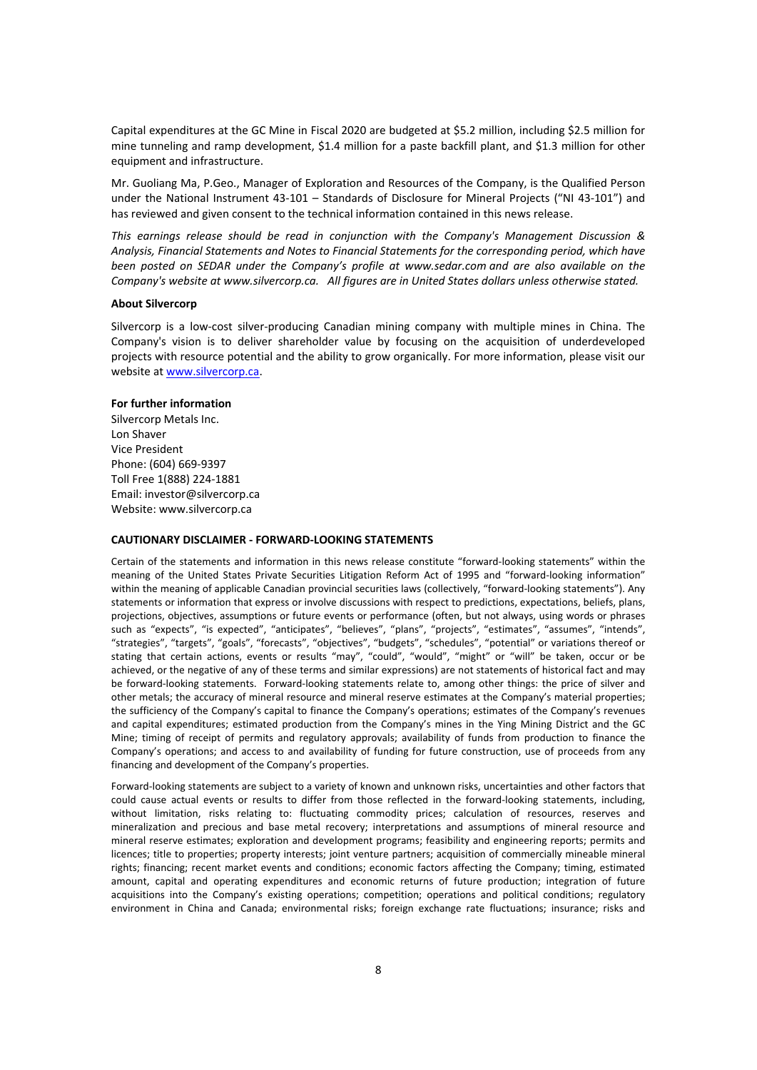Capital expenditures at the GC Mine in Fiscal 2020 are budgeted at \$5.2 million, including \$2.5 million for mine tunneling and ramp development, \$1.4 million for a paste backfill plant, and \$1.3 million for other equipment and infrastructure.

Mr. Guoliang Ma, P.Geo., Manager of Exploration and Resources of the Company, is the Qualified Person under the National Instrument 43‐101 – Standards of Disclosure for Mineral Projects ("NI 43‐101") and has reviewed and given consent to the technical information contained in this news release.

*This earnings release should be read in conjunction with the Company's Management Discussion & Analysis, Financial Statements and Notes to Financial Statements for the corresponding period, which have been posted on SEDAR under the Company's profile at www.sedar.com and are also available on the Company's website at www.silvercorp.ca. All figures are in United States dollars unless otherwise stated.*

### **About Silvercorp**

Silvercorp is a low-cost silver-producing Canadian mining company with multiple mines in China. The Company's vision is to deliver shareholder value by focusing on the acquisition of underdeveloped projects with resource potential and the ability to grow organically. For more information, please visit our website at www.silvercorp.ca.

#### **For further information**

Silvercorp Metals Inc. Lon Shaver Vice President Phone: (604) 669‐9397 Toll Free 1(888) 224‐1881 Email: investor@silvercorp.ca Website: www.silvercorp.ca

### **CAUTIONARY DISCLAIMER ‐ FORWARD‐LOOKING STATEMENTS**

Certain of the statements and information in this news release constitute "forward‐looking statements" within the meaning of the United States Private Securities Litigation Reform Act of 1995 and "forward‐looking information" within the meaning of applicable Canadian provincial securities laws (collectively, "forward-looking statements"). Any statements or information that express or involve discussions with respect to predictions, expectations, beliefs, plans, projections, objectives, assumptions or future events or performance (often, but not always, using words or phrases such as "expects", "is expected", "anticipates", "believes", "plans", "projects", "estimates", "assumes", "intends", "strategies", "targets", "goals", "forecasts", "objectives", "budgets", "schedules", "potential" or variations thereof or stating that certain actions, events or results "may", "could", "would", "might" or "will" be taken, occur or be achieved, or the negative of any of these terms and similar expressions) are not statements of historical fact and may be forward-looking statements. Forward-looking statements relate to, among other things: the price of silver and other metals; the accuracy of mineral resource and mineral reserve estimates at the Company's material properties; the sufficiency of the Company's capital to finance the Company's operations; estimates of the Company's revenues and capital expenditures; estimated production from the Company's mines in the Ying Mining District and the GC Mine; timing of receipt of permits and regulatory approvals; availability of funds from production to finance the Company's operations; and access to and availability of funding for future construction, use of proceeds from any financing and development of the Company's properties.

Forward‐looking statements are subject to a variety of known and unknown risks, uncertainties and other factors that could cause actual events or results to differ from those reflected in the forward-looking statements, including, without limitation, risks relating to: fluctuating commodity prices; calculation of resources, reserves and mineralization and precious and base metal recovery; interpretations and assumptions of mineral resource and mineral reserve estimates; exploration and development programs; feasibility and engineering reports; permits and licences; title to properties; property interests; joint venture partners; acquisition of commercially mineable mineral rights; financing; recent market events and conditions; economic factors affecting the Company; timing, estimated amount, capital and operating expenditures and economic returns of future production; integration of future acquisitions into the Company's existing operations; competition; operations and political conditions; regulatory environment in China and Canada; environmental risks; foreign exchange rate fluctuations; insurance; risks and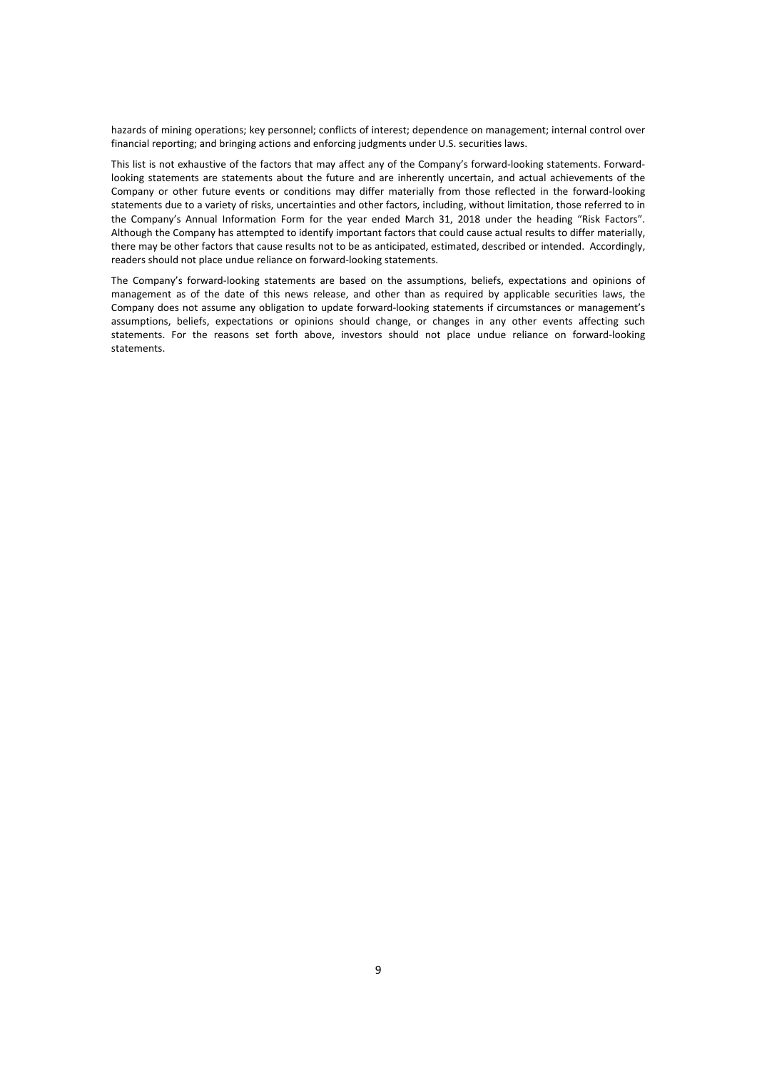hazards of mining operations; key personnel; conflicts of interest; dependence on management; internal control over financial reporting; and bringing actions and enforcing judgments under U.S. securities laws.

This list is not exhaustive of the factors that may affect any of the Company's forward-looking statements. Forwardlooking statements are statements about the future and are inherently uncertain, and actual achievements of the Company or other future events or conditions may differ materially from those reflected in the forward‐looking statements due to a variety of risks, uncertainties and other factors, including, without limitation, those referred to in the Company's Annual Information Form for the year ended March 31, 2018 under the heading "Risk Factors". Although the Company has attempted to identify important factors that could cause actual results to differ materially, there may be other factors that cause results not to be as anticipated, estimated, described or intended. Accordingly, readers should not place undue reliance on forward‐looking statements.

The Company's forward-looking statements are based on the assumptions, beliefs, expectations and opinions of management as of the date of this news release, and other than as required by applicable securities laws, the Company does not assume any obligation to update forward‐looking statements if circumstances or management's assumptions, beliefs, expectations or opinions should change, or changes in any other events affecting such statements. For the reasons set forth above, investors should not place undue reliance on forward-looking statements.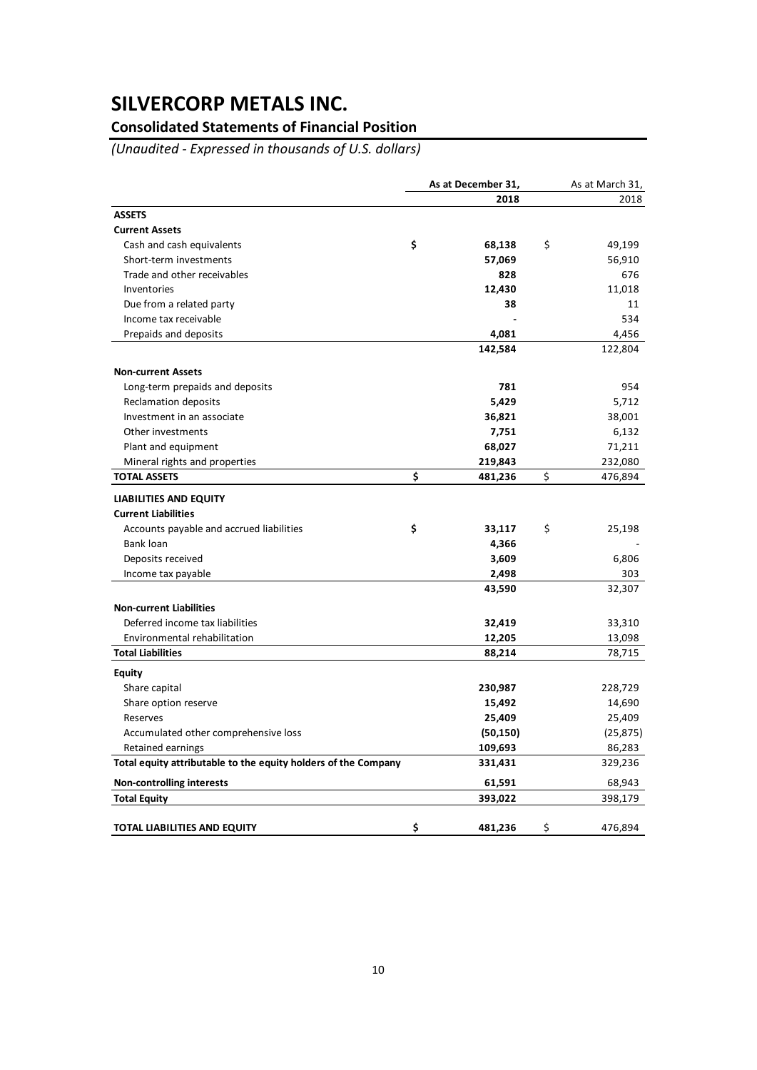### **Consolidated Statements of Financial Position**

*(Unaudited ‐ Expressed in thousands of U.S. dollars)*

|                                                                | As at December 31, | As at March 31, |
|----------------------------------------------------------------|--------------------|-----------------|
|                                                                | 2018               | 2018            |
| <b>ASSETS</b>                                                  |                    |                 |
| <b>Current Assets</b>                                          |                    |                 |
| Cash and cash equivalents                                      | \$<br>68,138       | \$<br>49,199    |
| Short-term investments                                         | 57,069             | 56,910          |
| Trade and other receivables                                    | 828                | 676             |
| Inventories                                                    | 12,430             | 11,018          |
| Due from a related party                                       | 38                 | 11              |
| Income tax receivable                                          |                    | 534             |
| Prepaids and deposits                                          | 4,081              | 4,456           |
|                                                                | 142,584            | 122,804         |
| <b>Non-current Assets</b>                                      |                    |                 |
| Long-term prepaids and deposits                                | 781                | 954             |
| <b>Reclamation deposits</b>                                    | 5,429              | 5,712           |
| Investment in an associate                                     | 36,821             | 38,001          |
| Other investments                                              | 7,751              | 6,132           |
| Plant and equipment                                            | 68,027             | 71,211          |
| Mineral rights and properties                                  | 219,843            | 232,080         |
| <b>TOTAL ASSETS</b>                                            | \$<br>481,236      | \$<br>476,894   |
| <b>LIABILITIES AND EQUITY</b>                                  |                    |                 |
| <b>Current Liabilities</b>                                     |                    |                 |
| Accounts payable and accrued liabilities                       | \$<br>33,117       | \$<br>25,198    |
| Bank loan                                                      | 4,366              |                 |
| Deposits received                                              | 3,609              | 6,806           |
| Income tax payable                                             | 2,498              | 303             |
|                                                                | 43,590             | 32,307          |
| <b>Non-current Liabilities</b>                                 |                    |                 |
| Deferred income tax liabilities                                | 32,419             | 33,310          |
| Environmental rehabilitation                                   | 12,205             | 13,098          |
| <b>Total Liabilities</b>                                       | 88,214             | 78,715          |
| <b>Equity</b>                                                  |                    |                 |
| Share capital                                                  | 230,987            | 228,729         |
| Share option reserve                                           | 15,492             | 14,690          |
| Reserves                                                       | 25,409             | 25,409          |
| Accumulated other comprehensive loss                           | (50, 150)          | (25, 875)       |
| Retained earnings                                              | 109,693            | 86,283          |
| Total equity attributable to the equity holders of the Company | 331,431            | 329,236         |
| Non-controlling interests                                      | 61,591             | 68,943          |
| <b>Total Equity</b>                                            | 393,022            | 398,179         |
|                                                                |                    |                 |
| <b>TOTAL LIABILITIES AND EQUITY</b>                            | \$<br>481,236      | \$<br>476,894   |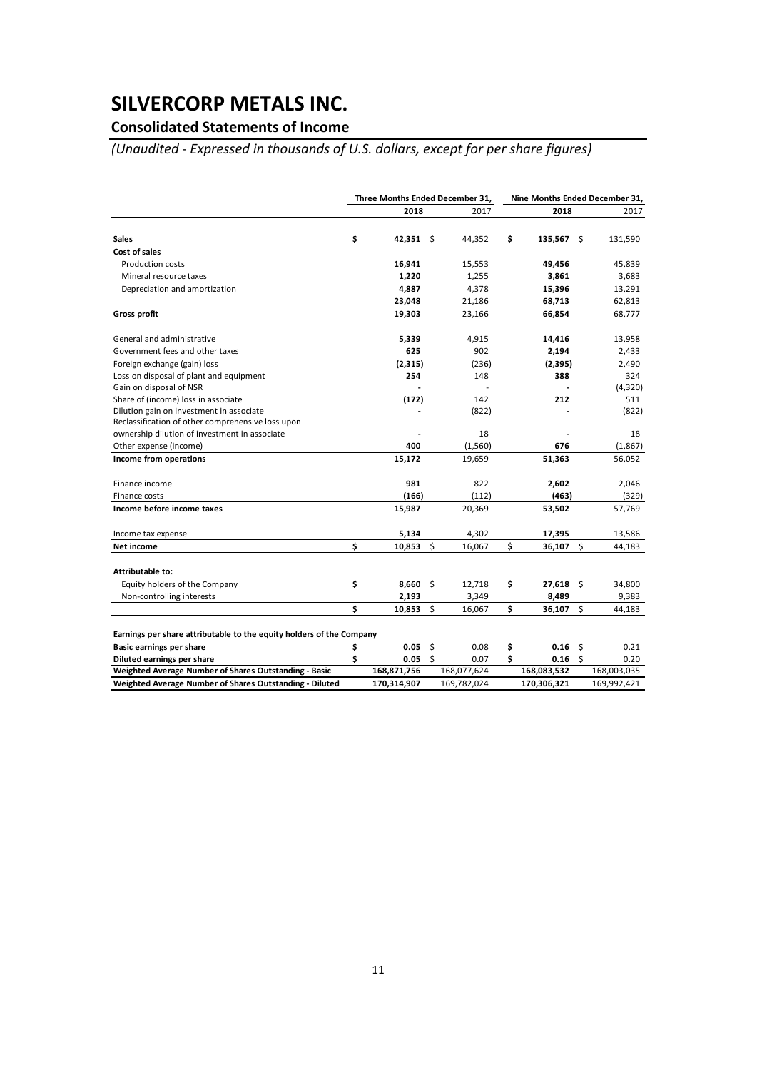### **Consolidated Statements of Income**

*(Unaudited ‐ Expressed in thousands of U.S. dollars, except for per share figures)*

|                                                                                               |    | Three Months Ended December 31, |          |     | Nine Months Ended December 31, |         |
|-----------------------------------------------------------------------------------------------|----|---------------------------------|----------|-----|--------------------------------|---------|
|                                                                                               |    | 2018                            | 2017     |     | 2018                           | 2017    |
| <b>Sales</b>                                                                                  | \$ | $42,351$ \$                     | 44,352   | \$. | $135,567$ \$                   | 131,590 |
| Cost of sales                                                                                 |    |                                 |          |     |                                |         |
| <b>Production costs</b>                                                                       |    | 16,941                          | 15,553   |     | 49,456                         | 45,839  |
| Mineral resource taxes                                                                        |    | 1,220                           | 1,255    |     | 3,861                          | 3,683   |
| Depreciation and amortization                                                                 |    | 4,887                           | 4,378    |     | 15,396                         | 13,291  |
|                                                                                               |    | 23,048                          | 21,186   |     | 68,713                         | 62,813  |
| Gross profit                                                                                  |    | 19,303                          | 23,166   |     | 66,854                         | 68,777  |
| General and administrative                                                                    |    | 5,339                           | 4,915    |     | 14,416                         | 13,958  |
| Government fees and other taxes                                                               |    | 625                             | 902      |     | 2,194                          | 2,433   |
| Foreign exchange (gain) loss                                                                  |    | (2, 315)                        | (236)    |     | (2,395)                        | 2,490   |
| Loss on disposal of plant and equipment                                                       |    | 254                             | 148      |     | 388                            | 324     |
| Gain on disposal of NSR                                                                       |    | $\overline{\phantom{a}}$        |          |     |                                | (4,320) |
| Share of (income) loss in associate                                                           |    | (172)                           | 142      |     | 212                            | 511     |
| Dilution gain on investment in associate<br>Reclassification of other comprehensive loss upon |    |                                 | (822)    |     |                                | (822)   |
| ownership dilution of investment in associate                                                 |    |                                 | 18       |     |                                | 18      |
| Other expense (income)                                                                        |    | 400                             | (1, 560) |     | 676                            | (1,867) |
| Income from operations                                                                        |    | 15,172                          | 19,659   |     | 51,363                         | 56,052  |
| Finance income                                                                                |    | 981                             | 822      |     | 2,602                          | 2,046   |
| Finance costs                                                                                 |    | (166)                           | (112)    |     | (463)                          | (329)   |
| Income before income taxes                                                                    |    | 15,987                          | 20,369   |     | 53,502                         | 57,769  |
| Income tax expense                                                                            |    | 5,134                           | 4,302    |     | 17,395                         | 13,586  |
| Net income                                                                                    | Ś  | \$<br>10,853                    | 16,067   | \$  | - \$<br>36,107                 | 44,183  |
| Attributable to:                                                                              |    |                                 |          |     |                                |         |
| Equity holders of the Company                                                                 | \$ | 8,660<br>\$                     | 12,718   | \$  | $27,618$ \$                    | 34,800  |
| Non-controlling interests                                                                     |    | 2,193                           | 3,349    |     | 8,489                          | 9,383   |
|                                                                                               | \$ | \$<br>10,853                    | 16,067   | \$  | $36,107$ \$                    | 44,183  |

| 0.05        | 0.08 |                            | 0.16        | 0.21        |
|-------------|------|----------------------------|-------------|-------------|
| 0.05        | 0.07 |                            | 0.16        | 0.20        |
| 168.871.756 |      |                            | 168.083.532 | 168.003.035 |
| 170.314.907 |      |                            | 170.306.321 | 169.992.421 |
|             |      | 168.077.624<br>169.782.024 |             |             |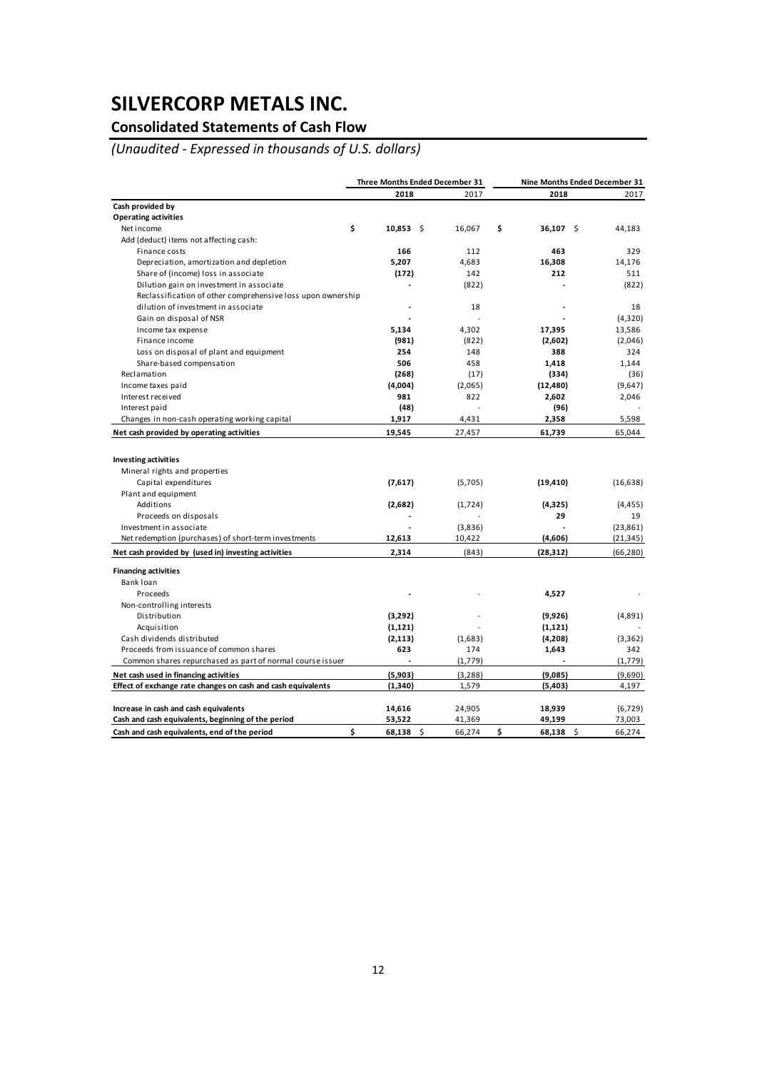## **Consolidated Statements of Cash Flow**

*(Unaudited ‐ Expressed in thousands of U.S. dollars)*

|                                                                                                             | Three Months Ended December 31 |                  |                  | Nine Months Ended December 31 |
|-------------------------------------------------------------------------------------------------------------|--------------------------------|------------------|------------------|-------------------------------|
|                                                                                                             | 2018                           | 2017             | 2018             | 2017                          |
| Cash provided by                                                                                            |                                |                  |                  |                               |
| <b>Operating activities</b>                                                                                 |                                |                  |                  |                               |
| Net income                                                                                                  | \$<br>$10,853$ \$              | 16,067           | \$<br>36,107 \$  | 44,183                        |
| Add (deduct) items not affecting cash:                                                                      |                                |                  |                  |                               |
| Finance costs                                                                                               | 166                            | 112              | 463              | 329                           |
| Depreciation, amortization and depletion                                                                    | 5,207                          | 4,683            | 16,308           | 14,176                        |
| Share of (income) loss in associate                                                                         | (172)                          | 142              | 212              | 511                           |
| Dilution gain on investment in associate                                                                    |                                | (822)            |                  | (822)                         |
| Reclassification of other comprehensive loss upon ownership                                                 |                                |                  |                  |                               |
| dilution of investment in associate                                                                         |                                | 18               |                  | 18                            |
| Gain on disposal of NSR                                                                                     |                                |                  |                  | (4,320)                       |
| Income tax expense                                                                                          | 5,134                          | 4,302            | 17,395           | 13,586                        |
| Finance income                                                                                              | (981)                          | (822)            | (2,602)          | (2,046)                       |
| Loss on disposal of plant and equipment                                                                     | 254                            | 148              | 388              | 324                           |
| Share-based compensation                                                                                    | 506                            | 458              | 1,418            | 1,144                         |
| Reclamation                                                                                                 | (268)                          | (17)             | (334)            | (36)                          |
| Income taxes paid                                                                                           | (4,004)                        | (2,065)          | (12, 480)        | (9,647)                       |
| Interest received                                                                                           | 981                            | 822              | 2,602            | 2,046                         |
| Interest paid                                                                                               | (48)                           |                  | (96)             |                               |
| Changes in non-cash operating working capital                                                               | 1,917                          | 4,431            | 2,358            | 5,598                         |
| Net cash provided by operating activities                                                                   | 19,545                         | 27,457           | 61,739           | 65,044                        |
| <b>Investing activities</b><br>Mineral rights and properties<br>Capital expenditures<br>Plant and equipment | (7,617)                        | (5,705)          | (19, 410)        | (16, 638)                     |
| Additions                                                                                                   | (2,682)                        | (1,724)          | (4,325)          | (4, 455)                      |
| Proceeds on disposals                                                                                       |                                |                  | 29               | 19                            |
| Investment in associate                                                                                     |                                | (3,836)          |                  | (23, 861)                     |
| Net redemption (purchases) of short-term investments                                                        | 12,613                         | 10,422           | (4,606)          | (21, 345)                     |
| Net cash provided by (used in) investing activities                                                         | 2,314                          | (843)            | (28, 312)        | (66, 280)                     |
| <b>Financing activities</b><br>Bank loan                                                                    |                                |                  |                  |                               |
| Proceeds                                                                                                    |                                |                  | 4,527            |                               |
| Non-controlling interests                                                                                   |                                |                  |                  |                               |
| Distribution                                                                                                | (3,292)                        |                  | (9,926)          | (4,891)                       |
| Acquisition                                                                                                 | (1, 121)                       |                  | (1, 121)         |                               |
| Cash dividends distributed                                                                                  | (2, 113)                       | (1,683)          | (4,208)          | (3,362)                       |
| Proceeds from issuance of common shares                                                                     | 623                            | 174              | 1,643            | 342                           |
| Common shares repurchased as part of normal course issuer                                                   |                                | (1,779)          |                  | (1,779)                       |
| Net cash used in financing activities                                                                       | (5,903)                        | (3, 288)         | (9,085)          | (9,690)                       |
| Effect of exchange rate changes on cash and cash equivalents                                                | (1,340)                        | 1,579            | (5,403)          | 4,197                         |
| Increase in cash and cash equivalents<br>Cash and cash equivalents, beginning of the period                 | 14,616<br>53,522               | 24,905<br>41,369 | 18,939<br>49,199 | (6, 729)<br>73,003            |
| Cash and cash equivalents, end of the period                                                                | \$<br>68,138                   | \$<br>66,274     | \$<br>68,138     | \$<br>66,274                  |
|                                                                                                             |                                |                  |                  |                               |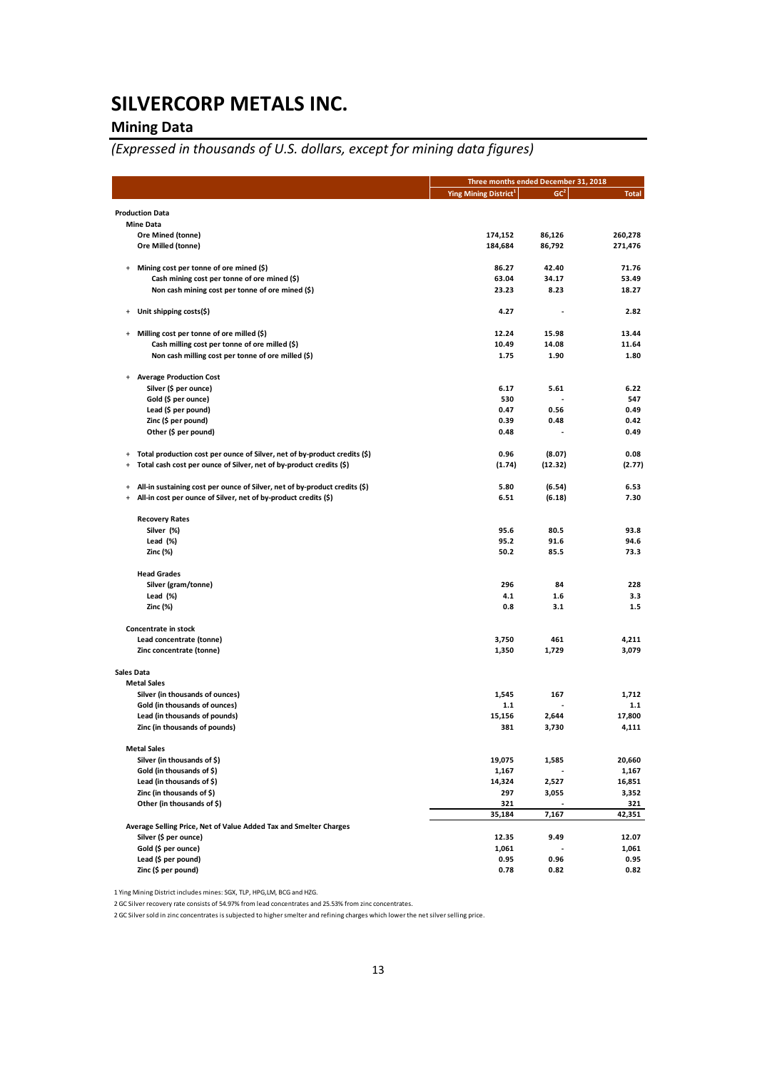## **Mining Data**

## *(Expressed in thousands of U.S. dollars, except for mining data figures)*

|                                                                                                               |                                   | Three months ended December 31, 2018 |              |  |  |
|---------------------------------------------------------------------------------------------------------------|-----------------------------------|--------------------------------------|--------------|--|--|
|                                                                                                               | Ying Mining District <sup>1</sup> | GC <sup>2</sup>                      | <b>Total</b> |  |  |
| <b>Production Data</b>                                                                                        |                                   |                                      |              |  |  |
| <b>Mine Data</b>                                                                                              |                                   |                                      |              |  |  |
| Ore Mined (tonne)                                                                                             | 174,152                           | 86,126                               | 260,278      |  |  |
| Ore Milled (tonne)                                                                                            | 184,684                           | 86,792                               | 271,476      |  |  |
| Mining cost per tonne of ore mined (\$)<br>$\ddot{}$                                                          | 86.27                             | 42.40                                | 71.76        |  |  |
| Cash mining cost per tonne of ore mined (\$)                                                                  | 63.04                             | 34.17                                | 53.49        |  |  |
| Non cash mining cost per tonne of ore mined (\$)                                                              | 23.23                             | 8.23                                 | 18.27        |  |  |
| Unit shipping costs(\$)<br>$\begin{array}{c} + \end{array}$                                                   | 4.27                              |                                      | 2.82         |  |  |
| Milling cost per tonne of ore milled (\$)<br>$\ddot{}$                                                        | 12.24                             | 15.98                                | 13.44        |  |  |
| Cash milling cost per tonne of ore milled (\$)                                                                | 10.49                             | 14.08                                | 11.64        |  |  |
| Non cash milling cost per tonne of ore milled (\$)                                                            | 1.75                              | 1.90                                 | 1.80         |  |  |
|                                                                                                               |                                   |                                      |              |  |  |
| <b>Average Production Cost</b><br>$\ddot{}$                                                                   |                                   |                                      |              |  |  |
| Silver (\$ per ounce)                                                                                         | 6.17                              | 5.61                                 | 6.22         |  |  |
| Gold (\$ per ounce)                                                                                           | 530<br>0.47                       | 0.56                                 | 547<br>0.49  |  |  |
| Lead (\$ per pound)                                                                                           | 0.39                              | 0.48                                 | 0.42         |  |  |
| Zinc (\$ per pound)                                                                                           |                                   |                                      |              |  |  |
| Other (\$ per pound)                                                                                          | 0.48                              |                                      | 0.49         |  |  |
| Total production cost per ounce of Silver, net of by-product credits (\$)<br>$\begin{array}{c} + \end{array}$ | 0.96                              | (8.07)                               | 0.08         |  |  |
| Total cash cost per ounce of Silver, net of by-product credits (\$)<br>$\begin{array}{c} + \end{array}$       | (1.74)                            | (12.32)                              | (2.77)       |  |  |
| All-in sustaining cost per ounce of Silver, net of by-product credits (\$)<br>$\ddot{}$                       | 5.80                              | (6.54)                               | 6.53         |  |  |
| All-in cost per ounce of Silver, net of by-product credits (\$)<br>$\begin{array}{c} + \end{array}$           | 6.51                              | (6.18)                               | 7.30         |  |  |
|                                                                                                               |                                   |                                      |              |  |  |
| <b>Recovery Rates</b>                                                                                         |                                   |                                      |              |  |  |
| Silver (%)                                                                                                    | 95.6                              | 80.5                                 | 93.8         |  |  |
| Lead $(\%)$<br>Zinc (%)                                                                                       | 95.2<br>50.2                      | 91.6<br>85.5                         | 94.6<br>73.3 |  |  |
|                                                                                                               |                                   |                                      |              |  |  |
| <b>Head Grades</b>                                                                                            |                                   |                                      |              |  |  |
| Silver (gram/tonne)                                                                                           | 296                               | 84                                   | 228          |  |  |
| Lead $(\%)$                                                                                                   | 4.1                               | 1.6                                  | 3.3          |  |  |
| Zinc (%)                                                                                                      | 0.8                               | 3.1                                  | 1.5          |  |  |
| Concentrate in stock                                                                                          |                                   |                                      |              |  |  |
| Lead concentrate (tonne)                                                                                      | 3,750                             | 461                                  | 4,211        |  |  |
| Zinc concentrate (tonne)                                                                                      | 1,350                             | 1,729                                | 3,079        |  |  |
| Sales Data                                                                                                    |                                   |                                      |              |  |  |
| <b>Metal Sales</b>                                                                                            |                                   |                                      |              |  |  |
| Silver (in thousands of ounces)                                                                               | 1,545                             | 167                                  | 1,712        |  |  |
| Gold (in thousands of ounces)                                                                                 | 1.1                               |                                      | $1.1$        |  |  |
| Lead (in thousands of pounds)                                                                                 | 15,156                            | 2,644                                | 17,800       |  |  |
| Zinc (in thousands of pounds)                                                                                 | 381                               | 3,730                                | 4,111        |  |  |
| <b>Metal Sales</b>                                                                                            |                                   |                                      |              |  |  |
| Silver (in thousands of \$)                                                                                   | 19,075                            | 1,585                                | 20,660       |  |  |
| Gold (in thousands of \$)                                                                                     | 1,167                             |                                      | 1,167        |  |  |
| Lead (in thousands of \$)                                                                                     | 14,324                            | 2,527                                | 16,851       |  |  |
| Zinc (in thousands of \$)                                                                                     | 297                               | 3,055                                | 3,352        |  |  |
| Other (in thousands of \$)                                                                                    | 321                               |                                      | 321          |  |  |
|                                                                                                               | 35,184                            | 7,167                                | 42,351       |  |  |
| Average Selling Price, Net of Value Added Tax and Smelter Charges                                             |                                   |                                      |              |  |  |
| Silver (\$ per ounce)                                                                                         | 12.35                             | 9.49                                 | 12.07        |  |  |
| Gold (\$ per ounce)                                                                                           | 1,061                             |                                      | 1,061        |  |  |
| Lead (\$ per pound)<br>Zinc (\$ per pound)                                                                    | 0.95<br>0.78                      | 0.96<br>0.82                         | 0.95<br>0.82 |  |  |
|                                                                                                               |                                   |                                      |              |  |  |

1 Ying Mining District includes mines: SGX, TLP, HPG,LM, BCG and HZG.

2 GC Silver recovery rate consists of 54.97% from lead concentrates and 25.53% from zinc concentrates.

2 GC Silver sold in zinc concentrates is subjected to higher smelter and refining charges which lower the net silver selling price.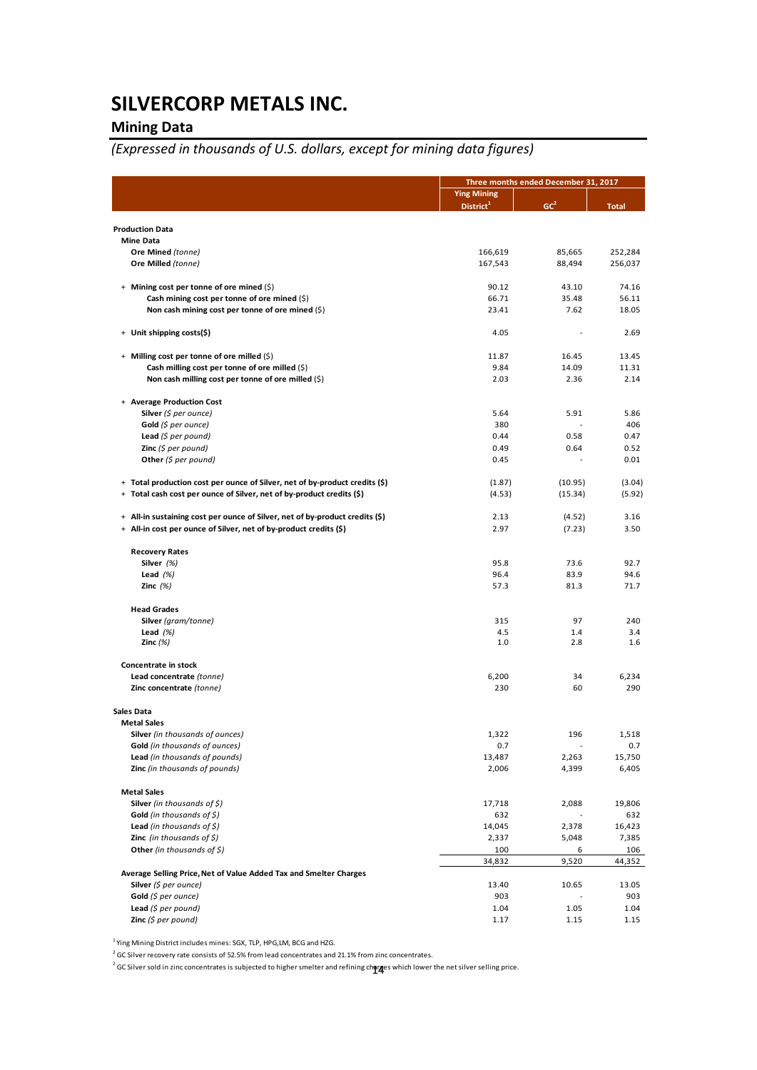## **Mining Data**

## *(Expressed in thousands of U.S. dollars, except for mining data figures)*

|                                                                              |                                             | Three months ended December 31, 2017 |               |  |
|------------------------------------------------------------------------------|---------------------------------------------|--------------------------------------|---------------|--|
|                                                                              | <b>Ying Mining</b><br>District <sup>1</sup> | GC <sup>2</sup>                      | <b>Total</b>  |  |
|                                                                              |                                             |                                      |               |  |
| <b>Production Data</b><br><b>Mine Data</b>                                   |                                             |                                      |               |  |
| Ore Mined (tonne)                                                            | 166,619                                     | 85,665                               | 252,284       |  |
| Ore Milled (tonne)                                                           | 167,543                                     | 88,494                               | 256,037       |  |
|                                                                              |                                             |                                      |               |  |
| + Mining cost per tonne of ore mined (\$)                                    | 90.12                                       | 43.10                                | 74.16         |  |
| Cash mining cost per tonne of ore mined $(\xi)$                              | 66.71                                       | 35.48                                | 56.11         |  |
| Non cash mining cost per tonne of ore mined $(5)$                            | 23.41                                       | 7.62                                 | 18.05         |  |
| + Unit shipping costs(\$)                                                    | 4.05                                        |                                      | 2.69          |  |
| + Milling cost per tonne of ore milled (\$)                                  | 11.87                                       | 16.45                                | 13.45         |  |
| Cash milling cost per tonne of ore milled (\$)                               | 9.84                                        | 14.09                                | 11.31         |  |
| Non cash milling cost per tonne of ore milled (\$)                           | 2.03                                        | 2.36                                 | 2.14          |  |
| + Average Production Cost                                                    |                                             |                                      |               |  |
| Silver $(\xi$ per ounce)                                                     | 5.64                                        | 5.91                                 | 5.86          |  |
| Gold $(5 per ounce)$                                                         | 380                                         |                                      | 406           |  |
| Lead $(S$ per pound)                                                         | 0.44                                        | 0.58                                 | 0.47          |  |
| <b>Zinc</b> ( $\oint$ per pound)                                             | 0.49                                        | 0.64                                 | 0.52          |  |
| Other $(\xi$ per pound)                                                      | 0.45                                        |                                      | 0.01          |  |
| + Total production cost per ounce of Silver, net of by-product credits (\$)  | (1.87)                                      | (10.95)                              | (3.04)        |  |
| + Total cash cost per ounce of Silver, net of by-product credits (\$)        | (4.53)                                      | (15.34)                              | (5.92)        |  |
| + All-in sustaining cost per ounce of Silver, net of by-product credits (\$) | 2.13                                        | (4.52)                               | 3.16          |  |
| + All-in cost per ounce of Silver, net of by-product credits (\$)            | 2.97                                        | (7.23)                               | 3.50          |  |
| <b>Recovery Rates</b>                                                        |                                             |                                      |               |  |
| Silver $(%)$                                                                 | 95.8                                        | 73.6                                 | 92.7          |  |
| Lead $(\%)$                                                                  | 96.4                                        | 83.9                                 | 94.6          |  |
| Zinc $(%)$                                                                   | 57.3                                        | 81.3                                 | 71.7          |  |
| <b>Head Grades</b>                                                           |                                             |                                      |               |  |
| Silver (gram/tonne)                                                          | 315                                         | 97                                   | 240           |  |
| Lead $(\%)$                                                                  | 4.5                                         | 1.4                                  | 3.4           |  |
| Zinc $(\%)$                                                                  | 1.0                                         | 2.8                                  | 1.6           |  |
| Concentrate in stock                                                         |                                             |                                      |               |  |
| Lead concentrate (tonne)                                                     | 6,200                                       | 34                                   | 6.234         |  |
| Zinc concentrate (tonne)                                                     | 230                                         | 60                                   | 290           |  |
| Sales Data                                                                   |                                             |                                      |               |  |
| <b>Metal Sales</b>                                                           |                                             |                                      |               |  |
| Silver (in thousands of ounces)                                              | 1,322                                       | 196                                  | 1,518         |  |
| Gold (in thousands of ounces)                                                | 0.7                                         |                                      | 0.7           |  |
| Lead (in thousands of pounds)                                                | 13,487                                      | 2,263                                | 15,750        |  |
| Zinc (in thousands of pounds)                                                | 2,006                                       | 4,399                                | 6,405         |  |
| <b>Metal Sales</b>                                                           |                                             |                                      |               |  |
| <b>Silver</b> (in thousands of \$)                                           | 17,718                                      | 2,088                                | 19,806        |  |
| Gold (in thousands of $$$ )                                                  | 632                                         |                                      | 632           |  |
| Lead (in thousands of $\zeta$ )                                              | 14,045                                      | 2,378                                | 16,423        |  |
| <b>Zinc</b> (in thousands of $\zeta$ )                                       | 2,337                                       | 5,048                                | 7,385         |  |
| Other (in thousands of \$)                                                   | 100<br>34,832                               | 6<br>9,520                           | 106<br>44,352 |  |
| Average Selling Price, Net of Value Added Tax and Smelter Charges            |                                             |                                      |               |  |
| Silver (\$ per ounce)                                                        | 13.40                                       | 10.65                                | 13.05         |  |
| Gold (\$ per ounce)                                                          | 903                                         |                                      | 903           |  |
| Lead (\$ per pound)                                                          | 1.04                                        | 1.05                                 | 1.04          |  |
| Zinc (\$ per pound)                                                          | 1.17                                        | 1.15                                 | 1.15          |  |

<sup>1</sup> Ying Mining District includes mines: SGX, TLP, HPG,LM, BCG and HZG.

<sup>2</sup> GC Silver recovery rate consists of 52.5% from lead concentrates and 21.1% from zinc concentrates.

<sup>2</sup> GC Silver sold in zinc concentrates is subjected to higher smelter and refining charges which lower the net silver selling price.<br>.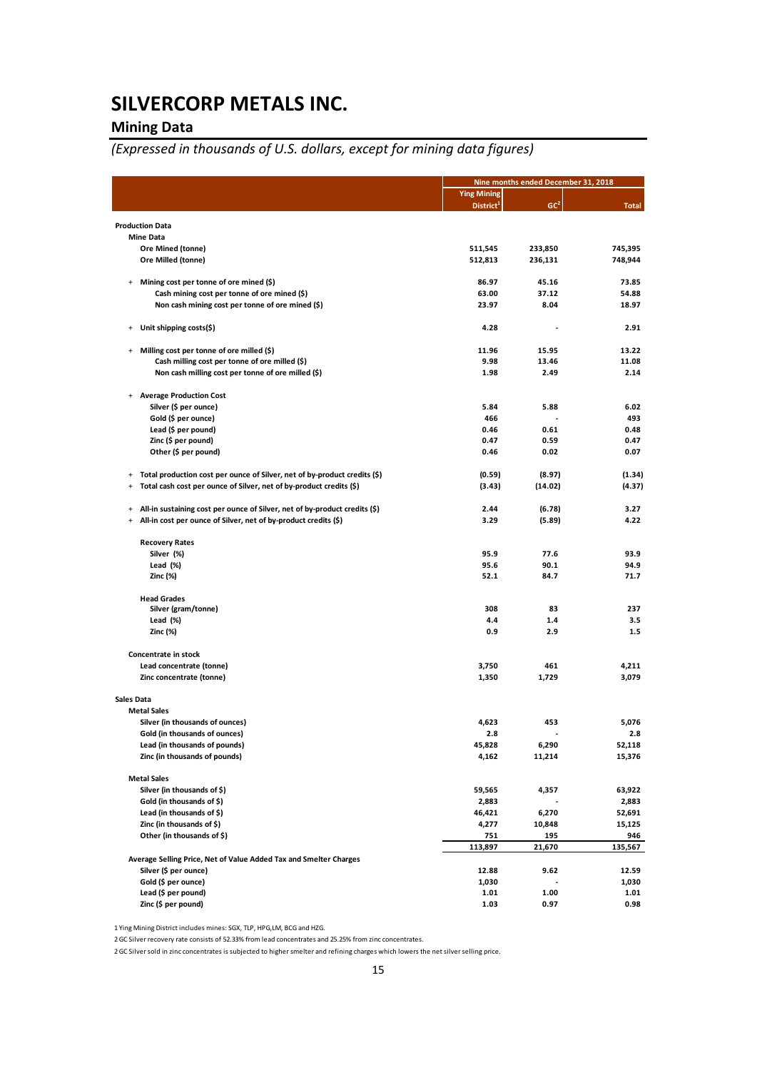## **Mining Data**

## *(Expressed in thousands of U.S. dollars, except for mining data figures)*

|            |                                                                                                  |                       | Nine months ended December 31, 2018 |                |  |  |
|------------|--------------------------------------------------------------------------------------------------|-----------------------|-------------------------------------|----------------|--|--|
|            |                                                                                                  | <b>Ying Mining</b>    |                                     |                |  |  |
|            |                                                                                                  | District <sup>1</sup> | GC <sup>2</sup>                     | <b>Total</b>   |  |  |
|            | <b>Production Data</b>                                                                           |                       |                                     |                |  |  |
|            | <b>Mine Data</b>                                                                                 |                       |                                     |                |  |  |
|            | Ore Mined (tonne)                                                                                | 511,545               | 233,850                             | 745,395        |  |  |
|            | Ore Milled (tonne)                                                                               | 512,813               | 236,131                             | 748,944        |  |  |
|            |                                                                                                  |                       |                                     |                |  |  |
| $+$        | Mining cost per tonne of ore mined (\$)                                                          | 86.97                 | 45.16<br>37.12                      | 73.85          |  |  |
|            | Cash mining cost per tonne of ore mined (\$)<br>Non cash mining cost per tonne of ore mined (\$) | 63.00<br>23.97        | 8.04                                | 54.88<br>18.97 |  |  |
|            |                                                                                                  |                       |                                     |                |  |  |
| $+$        | Unit shipping costs(\$)                                                                          | 4.28                  |                                     | 2.91           |  |  |
| $+$        | Milling cost per tonne of ore milled (\$)                                                        | 11.96                 | 15.95                               | 13.22          |  |  |
|            | Cash milling cost per tonne of ore milled (\$)                                                   | 9.98                  | 13.46                               | 11.08          |  |  |
|            | Non cash milling cost per tonne of ore milled (\$)                                               | 1.98                  | 2.49                                | 2.14           |  |  |
|            | + Average Production Cost                                                                        |                       |                                     |                |  |  |
|            | Silver (\$ per ounce)                                                                            | 5.84                  | 5.88                                | 6.02           |  |  |
|            | Gold (\$ per ounce)                                                                              | 466                   |                                     | 493            |  |  |
|            | Lead (\$ per pound)                                                                              | 0.46                  | 0.61                                | 0.48           |  |  |
|            | Zinc (\$ per pound)                                                                              | 0.47                  | 0.59                                | 0.47           |  |  |
|            | Other (\$ per pound)                                                                             | 0.46                  | 0.02                                | 0.07           |  |  |
| $\ddot{}$  | Total production cost per ounce of Silver, net of by-product credits (\$)                        | (0.59)                | (8.97)                              | (1.34)         |  |  |
| $\ddot{}$  | Total cash cost per ounce of Silver, net of by-product credits (\$)                              | (3.43)                | (14.02)                             | (4.37)         |  |  |
| $\ddot{}$  | All-in sustaining cost per ounce of Silver, net of by-product credits (\$)                       | 2.44                  | (6.78)                              | 3.27           |  |  |
| $\ddot{}$  | All-in cost per ounce of Silver, net of by-product credits (\$)                                  | 3.29                  | (5.89)                              | 4.22           |  |  |
|            |                                                                                                  |                       |                                     |                |  |  |
|            | <b>Recovery Rates</b>                                                                            |                       |                                     |                |  |  |
|            | Silver (%)                                                                                       | 95.9                  | 77.6                                | 93.9           |  |  |
|            | Lead (%)                                                                                         | 95.6                  | 90.1                                | 94.9           |  |  |
|            | Zinc (%)                                                                                         | 52.1                  | 84.7                                | 71.7           |  |  |
|            | <b>Head Grades</b>                                                                               |                       |                                     |                |  |  |
|            | Silver (gram/tonne)                                                                              | 308                   | 83                                  | 237            |  |  |
|            | Lead (%)                                                                                         | 4.4                   | 1.4                                 | 3.5            |  |  |
|            | Zinc (%)                                                                                         | 0.9                   | 2.9                                 | 1.5            |  |  |
|            | Concentrate in stock                                                                             |                       |                                     |                |  |  |
|            | Lead concentrate (tonne)                                                                         | 3,750                 | 461                                 | 4,211          |  |  |
|            | Zinc concentrate (tonne)                                                                         | 1,350                 | 1,729                               | 3,079          |  |  |
| Sales Data |                                                                                                  |                       |                                     |                |  |  |
|            | <b>Metal Sales</b>                                                                               |                       |                                     |                |  |  |
|            | Silver (in thousands of ounces)                                                                  | 4,623                 | 453                                 | 5,076          |  |  |
|            | Gold (in thousands of ounces)                                                                    | 2.8                   |                                     | 2.8            |  |  |
|            | Lead (in thousands of pounds)                                                                    | 45,828                | 6,290                               | 52,118         |  |  |
|            | Zinc (in thousands of pounds)                                                                    | 4,162                 | 11,214                              | 15,376         |  |  |
|            | <b>Metal Sales</b>                                                                               |                       |                                     |                |  |  |
|            | Silver (in thousands of \$)                                                                      | 59,565                | 4,357                               | 63,922         |  |  |
|            | Gold (in thousands of \$)                                                                        | 2,883                 |                                     | 2,883          |  |  |
|            | Lead (in thousands of \$)                                                                        | 46,421                | 6,270                               | 52,691         |  |  |
|            | Zinc (in thousands of \$)                                                                        | 4,277                 | 10,848                              | 15,125         |  |  |
|            | Other (in thousands of \$)                                                                       | 751                   | 195                                 | 946            |  |  |
|            |                                                                                                  | 113,897               | 21,670                              | 135,567        |  |  |
|            | Average Selling Price, Net of Value Added Tax and Smelter Charges                                |                       |                                     |                |  |  |
|            | Silver (\$ per ounce)                                                                            | 12.88                 | 9.62                                | 12.59          |  |  |
|            | Gold (\$ per ounce)                                                                              | 1,030                 |                                     | 1,030          |  |  |
|            | Lead (\$ per pound)                                                                              | 1.01                  | 1.00                                | 1.01           |  |  |
|            | Zinc (\$ per pound)                                                                              | 1.03                  | 0.97                                | 0.98           |  |  |

1 Ying Mining District includes mines: SGX, TLP, HPG,LM, BCG and HZG.

2GC Silver recovery rate consists of 52.33% from lead concentrates and 25.25% from zinc concentrates.

2GC Silversold in zinc concentrates is subjected to highersmelter and refining charges which lowers the net silverselling price.